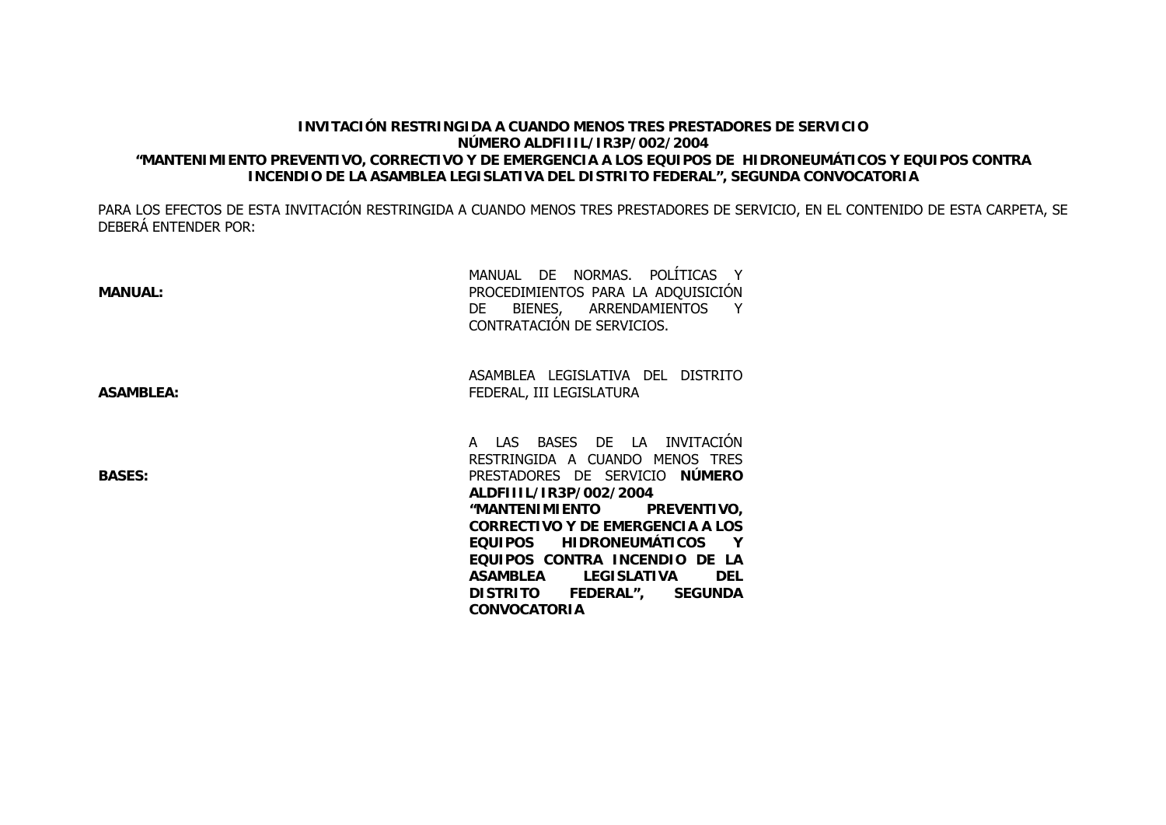### **INVITACIÓN RESTRINGIDA A CUANDO MENOS TRES PRESTADORES DE SERVICIONÚMERO ALDFIIIL/IR3P/002/2004 "MANTENIMIENTO PREVENTIVO, CORRECTIVO Y DE EMERGENCIA A LOS EQUIPOS DE HIDRONEUMÁTICOS Y EQUIPOS CONTRA INCENDIO DE LA ASAMBLEA LEGISLATIVA DEL DISTRITO FEDERAL", SEGUNDA CONVOCATORIA**

PARA LOS EFECTOS DE ESTA INVITACIÓN RESTRINGIDA A CUANDO MENOS TRES PRESTADORES DE SERVICIO, EN EL CONTENIDO DE ESTA CARPETA, SE DEBERÁ ENTENDER POR:

> **EQUIPOS CONTRA INCENDIO DE LA ASAMBLEA LEGISLATIVA DEL DISTRITO FEDERAL", SEGUNDA**

**CONVOCATORIA**

| <b>MANUAL:</b>   | MANUAL DE NORMAS. POLÍTICAS Y<br>PROCEDIMIENTOS PARA LA ADQUISICIÓN<br>DE BIENES, ARRENDAMIENTOS Y<br>CONTRATACIÓN DE SERVICIOS.                                                                                                                 |  |
|------------------|--------------------------------------------------------------------------------------------------------------------------------------------------------------------------------------------------------------------------------------------------|--|
| <b>ASAMBLEA:</b> | ASAMBLEA LEGISLATIVA DEL DISTRITO<br>FEDERAL, III LEGISLATURA                                                                                                                                                                                    |  |
| <b>BASES:</b>    | A LAS BASES DE LA INVITACIÓN<br>RESTRINGIDA A CUANDO MENOS TRES<br>PRESTADORES DE SERVICIO NÚMERO<br>ALDFIIIL/IR3P/002/2004<br><b>"MANTENIMIENTO</b><br><b>PREVENTIVO,</b><br><b>CORRECTIVO Y DE EMERGENCIA A LOS</b><br>EQUIPOS HIDRONEUMÁTICOS |  |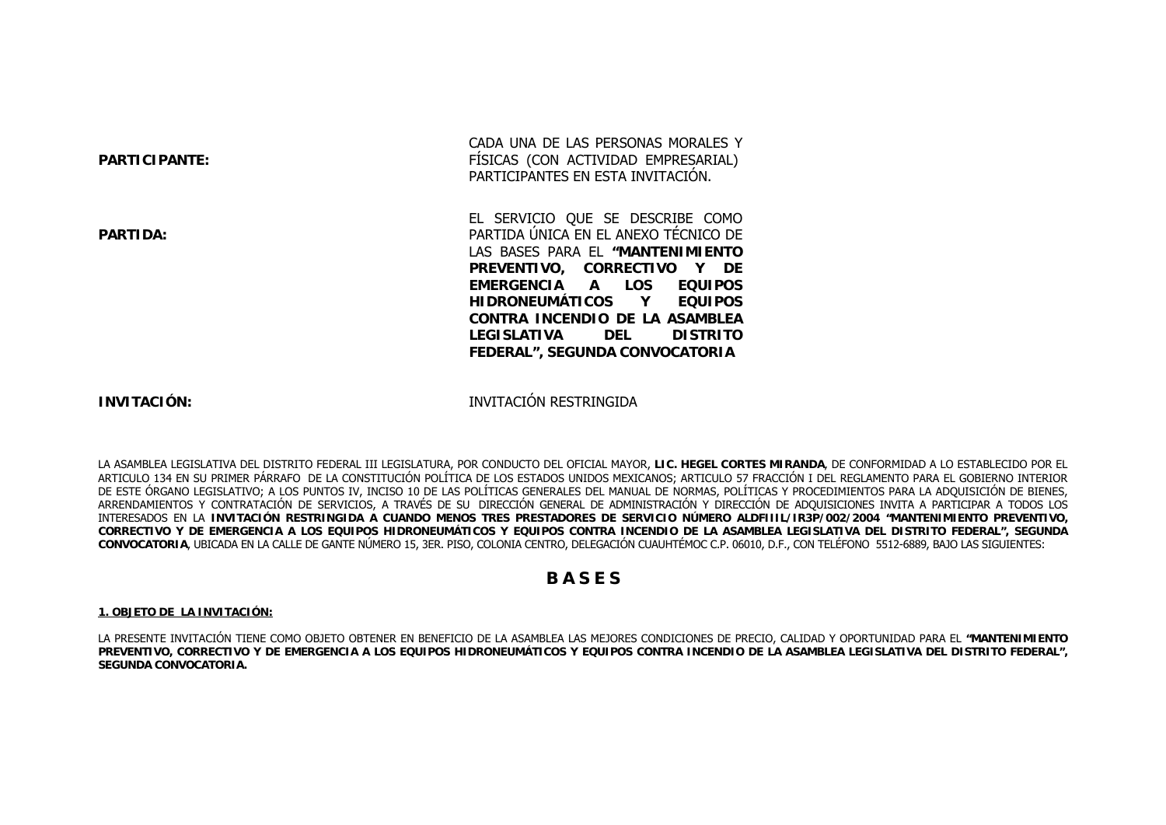| <b>PARTICIPANTE:</b> | CADA UNA DE LAS PERSONAS MORALES Y<br>FISICAS (CON ACTIVIDAD EMPRESARIAL)<br>PARTICIPANTES EN ESTA INVITACION.                                                          |  |
|----------------------|-------------------------------------------------------------------------------------------------------------------------------------------------------------------------|--|
| <b>PARTIDA:</b>      | EL SERVICIO QUE SE DESCRIBE COMO<br>PARTIDA UNICA EN EL ANEXO TECNICO DE<br>LAS BASES PARA EL "MANTENIMIENTO<br>PREVENTIVO, CORRECTIVO Y DE<br>EMERGENCIA A LOS EQUIPOS |  |
|                      | HIDRONEUMÁTICOS Y EQUIPOS<br>CONTRA INCENDIO DE LA ASAMBLEA<br>LEGISLATIVA DEL<br><b>DISTRITO</b><br><b>FEDERAL", SEGUNDA CONVOCATORIA</b>                              |  |

### **INVITACIÓN:**

INVITACIÓN RESTRINGIDA

LA ASAMBLEA LEGISLATIVA DEL DISTRITO FEDERAL III LEGISLATURA, POR CONDUCTO DEL OFICIAL MAYOR, **LIC. HEGEL CORTES MIRANDA**, DE CONFORMIDAD A LO ESTABLECIDO POR EL ARTICULO 134 EN SU PRIMER PÁRRAFO DE LA CONSTITUCIÓN POLÍTICA DE LOS ESTADOS UNIDOS MEXICANOS; ARTICULO 57 FRACCIÓN I DEL REGLAMENTO PARA EL GOBIERNO INTERIOR DE ESTE ÓRGANO LEGISLATIVO; A LOS PUNTOS IV, INCISO 10 DE LAS POLÍTICAS GENERALES DEL MANUAL DE NORMAS, POLÍTICAS Y PROCEDIMIENTOS PARA LA ADQUISICIÓN DE BIENES, ARRENDAMIENTOS Y CONTRATACIÓN DE SERVICIOS, A TRAVÉS DE SU DIRECCIÓN GENERAL DE ADMINISTRACIÓN Y DIRECCIÓN DE ADQUISICIONES INVITA A PARTICIPAR A TODOS LOS INTERESADOS EN LA **INVITACIÓN RESTRINGIDA A CUANDO MENOS TRES PRESTADORES DE SERVICIO NÚMERO ALDFIIIL/IR3P/002/2004 "MANTENIMIENTO PREVENTIVO, CORRECTIVO Y DE EMERGENCIA A LOS EQUIPOS HIDRONEUMÁTICOS Y EQUIPOS CONTRA INCENDIO DE LA ASAMBLEA LEGISLATIVA DEL DISTRITO FEDERAL", SEGUNDA CONVOCATORIA**, UBICADA EN LA CALLE DE GANTE NÚMERO 15, 3ER. PISO, COLONIA CENTRO, DELEGACIÓN CUAUHTÉMOC C.P. 06010, D.F., CON TELÉFONO 5512-6889, BAJO LAS SIGUIENTES:

## **B A S E S**

#### **1. OBJETO DE LA INVITACIÓN:**

LA PRESENTE INVITACIÓN TIENE COMO OBJETO OBTENER EN BENEFICIO DE LA ASAMBLEA LAS MEJORES CONDICIONES DE PRECIO, CALIDAD Y OPORTUNIDAD PARA EL **"MANTENIMIENTO PREVENTIVO, CORRECTIVO Y DE EMERGENCIA A LOS EQUIPOS HIDRONEUMÁTICOS Y EQUIPOS CONTRA INCENDIO DE LA ASAMBLEA LEGISLATIVA DEL DISTRITO FEDERAL", SEGUNDA CONVOCATORIA.**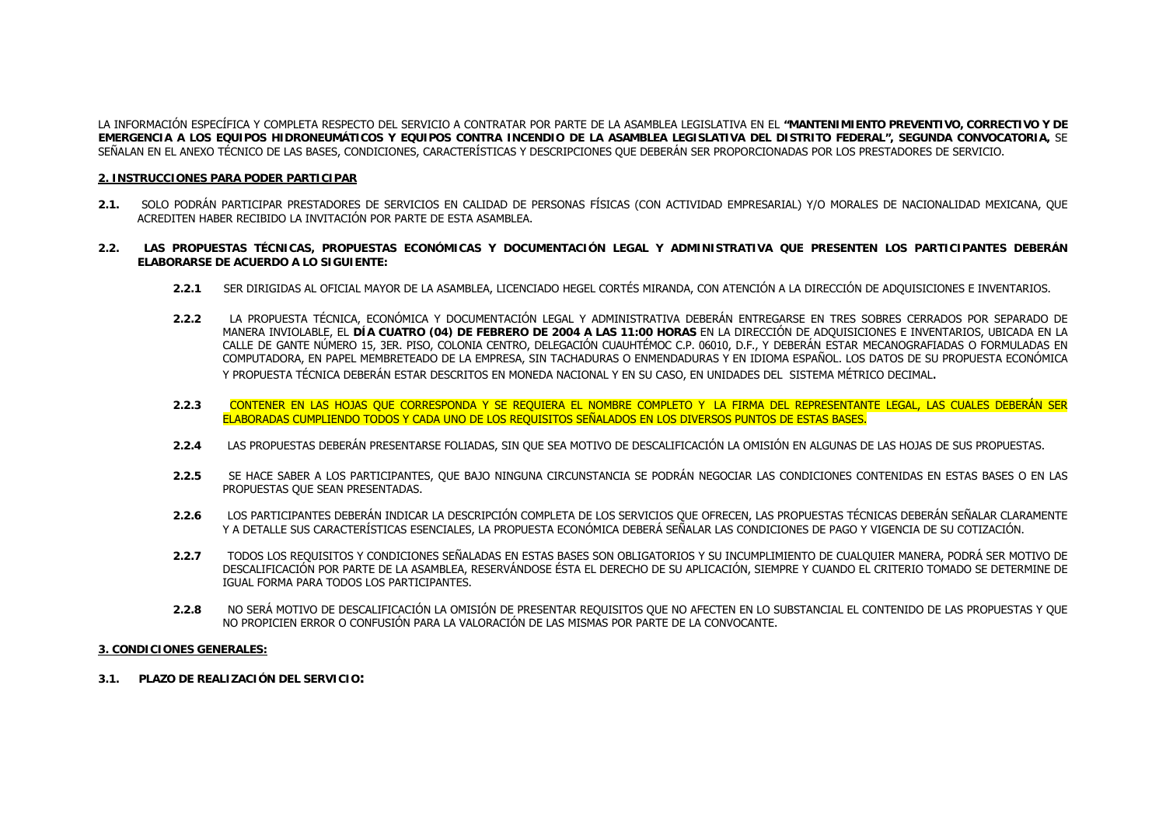LA INFORMACIÓN ESPECÍFICA Y COMPLETA RESPECTO DEL SERVICIO A CONTRATAR POR PARTE DE LA ASAMBLEA LEGISLATIVA EN EL **"MANTENIMIENTO PREVENTIVO, CORRECTIVO Y DE EMERGENCIA A LOS EQUIPOS HIDRONEUMÁTICOS Y EQUIPOS CONTRA INCENDIO DE LA ASAMBLEA LEGISLATIVA DEL DISTRITO FEDERAL", SEGUNDA CONVOCATORIA,** SE SEÑALAN EN EL ANEXO TÉCNICO DE LAS BASES, CONDICIONES, CARACTERÍSTICAS Y DESCRIPCIONES QUE DEBERÁN SER PROPORCIONADAS POR LOS PRESTADORES DE SERVICIO.

#### **2. INSTRUCCIONES PARA PODER PARTICIPAR**

- **2.1.** SOLO PODRÁN PARTICIPAR PRESTADORES DE SERVICIOS EN CALIDAD DE PERSONAS FÍSICAS (CON ACTIVIDAD EMPRESARIAL) Y/O MORALES DE NACIONALIDAD MEXICANA, QUE ACREDITEN HABER RECIBIDO LA INVITACIÓN POR PARTE DE ESTA ASAMBLEA.
- **2.2. LAS PROPUESTAS TÉCNICAS, PROPUESTAS ECONÓMICAS Y DOCUMENTACIÓN LEGAL Y ADMINISTRATIVA QUE PRESENTEN LOS PARTICIPANTES DEBERÁN ELABORARSE DE ACUERDO A LO SIGUIENTE:**
	- **2.2.1** SER DIRIGIDAS AL OFICIAL MAYOR DE LA ASAMBLEA, LICENCIADO HEGEL CORTÉS MIRANDA, CON ATENCIÓN A LA DIRECCIÓN DE ADQUISICIONES E INVENTARIOS.
	- **2.2.2** LA PROPUESTA TÉCNICA, ECONÓMICA Y DOCUMENTACIÓN LEGAL Y ADMINISTRATIVA DEBERÁN ENTREGARSE EN TRES SOBRES CERRADOS POR SEPARADO DE MANERA INVIOLABLE, EL **DÍA CUATRO (04) DE FEBRERO DE 2004 A LAS 11:00 HORAS** EN LA DIRECCIÓN DE ADQUISICIONES E INVENTARIOS, UBICADA EN LA CALLE DE GANTE NÚMERO 15, 3ER. PISO, COLONIA CENTRO, DELEGACIÓN CUAUHTÉMOC C.P. 06010, D.F., Y DEBERÁN ESTAR MECANOGRAFIADAS O FORMULADAS EN COMPUTADORA, EN PAPEL MEMBRETEADO DE LA EMPRESA, SIN TACHADURAS O ENMENDADURAS Y EN IDIOMA ESPAÑOL. LOS DATOS DE SU PROPUESTA ECONÓMICA Y PROPUESTA TÉCNICA DEBERÁN ESTAR DESCRITOS EN MONEDA NACIONAL Y EN SU CASO, EN UNIDADES DEL SISTEMA MÉTRICO DECIMAL.
	- **2.2.3** CONTENER EN LAS HOJAS QUE CORRESPONDA Y SE REQUIERA EL NOMBRE COMPLETO Y LA FIRMA DEL REPRESENTANTE LEGAL, LAS CUALES DEBERÁN SER ELABORADAS CUMPLIENDO TODOS Y CADA UNO DE LOS REQUISITOS SEÑALADOS EN LOS DIVERSOS PUNTOS DE ESTAS BASES.
	- **2.2.4**LAS PROPUESTAS DEBERÁN PRESENTARSE FOLIADAS, SIN QUE SEA MOTIVO DE DESCALIFICACIÓN LA OMISIÓN EN ALGUNAS DE LAS HOJAS DE SUS PROPUESTAS.
	- **2.2.5** SE HACE SABER A LOS PARTICIPANTES, QUE BAJO NINGUNA CIRCUNSTANCIA SE PODRÁN NEGOCIAR LAS CONDICIONES CONTENIDAS EN ESTAS BASES O EN LAS PROPUESTAS QUE SEAN PRESENTADAS.
	- **2.2.6** LOS PARTICIPANTES DEBERÁN INDICAR LA DESCRIPCIÓN COMPLETA DE LOS SERVICIOS QUE OFRECEN, LAS PROPUESTAS TÉCNICAS DEBERÁN SEÑALAR CLARAMENTE Y A DETALLE SUS CARACTERÍSTICAS ESENCIALES, LA PROPUESTA ECONÓMICA DEBERÁ SEÑALAR LAS CONDICIONES DE PAGO Y VIGENCIA DE SU COTIZACIÓN.
	- **2.2.7** TODOS LOS REQUISITOS Y CONDICIONES SEÑALADAS EN ESTAS BASES SON OBLIGATORIOS Y SU INCUMPLIMIENTO DE CUALQUIER MANERA, PODRÁ SER MOTIVO DE DESCALIFICACIÓN POR PARTE DE LA ASAMBLEA, RESERVÁNDOSE ÉSTA EL DERECHO DE SU APLICACIÓN, SIEMPRE Y CUANDO EL CRITERIO TOMADO SE DETERMINE DE IGUAL FORMA PARA TODOS LOS PARTICIPANTES.
	- **2.2.8** NO SERÁ MOTIVO DE DESCALIFICACIÓN LA OMISIÓN DE PRESENTAR REQUISITOS QUE NO AFECTEN EN LO SUBSTANCIAL EL CONTENIDO DE LAS PROPUESTAS Y QUE NO PROPICIEN ERROR O CONFUSIÓN PARA LA VALORACIÓN DE LAS MISMAS POR PARTE DE LA CONVOCANTE.

#### **3. CONDICIONES GENERALES:**

**3.1. PLAZO DE REALIZACIÓN DEL SERVICIO:**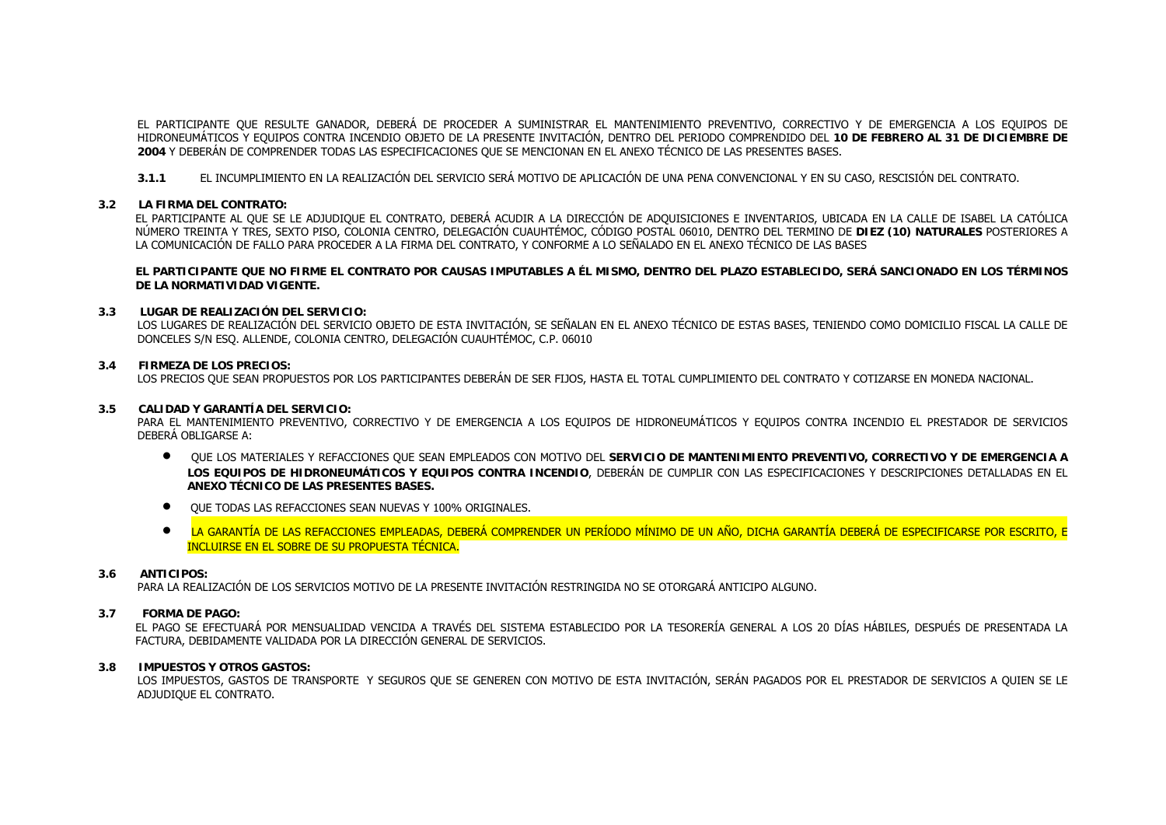EL PARTICIPANTE QUE RESULTE GANADOR, DEBERÁ DE PROCEDER A SUMINISTRAR EL MANTENIMIENTO PREVENTIVO, CORRECTIVO Y DE EMERGENCIA A LOS EQUIPOS DE HIDRONEUMÁTICOS Y EQUIPOS CONTRA INCENDIO OBJETO DE LA PRESENTE INVITACIÓN, DENTRO DEL PERIODO COMPRENDIDO DEL **10 DE FEBRERO AL 31 DE DICIEMBRE DE <sup>2004</sup>** Y DEBERÁN DE COMPRENDER TODAS LAS ESPECIFICACIONES QUE SE MENCIONAN EN EL ANEXO TÉCNICO DE LAS PRESENTES BASES.

**3.1.1** EL INCUMPLIMIENTO EN LA REALIZACIÓN DEL SERVICIO SERÁ MOTIVO DE APLICACIÓN DE UNA PENA CONVENCIONAL Y EN SU CASO, RESCISIÓN DEL CONTRATO.

### **3.2 LA FIRMA DEL CONTRATO:**

EL PARTICIPANTE AL QUE SE LE ADJUDIQUE EL CONTRATO, DEBERÁ ACUDIR A LA DIRECCIÓN DE ADQUISICIONES E INVENTARIOS, UBICADA EN LA CALLE DE ISABEL LA CATÓLICA NÚMERO TREINTA Y TRES, SEXTO PISO, COLONIA CENTRO, DELEGACIÓN CUAUHTÉMOC, CÓDIGO POSTAL 06010, DENTRO DEL TERMINO DE **DIEZ (10) NATURALES** POSTERIORES A LA COMUNICACIÓN DE FALLO PARA PROCEDER A LA FIRMA DEL CONTRATO, Y CONFORME A LO SEÑALADO EN EL ANEXO TÉCNICO DE LAS BASES

**EL PARTICIPANTE QUE NO FIRME EL CONTRATO POR CAUSAS IMPUTABLES A ÉL MISMO, DENTRO DEL PLAZO ESTABLECIDO, SERÁ SANCIONADO EN LOS TÉRMINOS DE LA NORMATIVIDAD VIGENTE.**

#### **3.3 LUGAR DE REALIZACIÓN DEL SERVICIO:**

LOS LUGARES DE REALIZACIÓN DEL SERVICIO OBJETO DE ESTA INVITACIÓN, SE SEÑALAN EN EL ANEXO TÉCNICO DE ESTAS BASES, TENIENDO COMO DOMICILIO FISCAL LA CALLE DE DONCELES S/N ESQ. ALLENDE, COLONIA CENTRO, DELEGACIÓN CUAUHTÉMOC, C.P. 06010

#### **3.4 FIRMEZA DE LOS PRECIOS:**

LOS PRECIOS QUE SEAN PROPUESTOS POR LOS PARTICIPANTES DEBERÁN DE SER FIJOS, HASTA EL TOTAL CUMPLIMIENTO DEL CONTRATO Y COTIZARSE EN MONEDA NACIONAL.

#### **3.5 CALIDAD Y GARANTÍA DEL SERVICIO:**

PARA EL MANTENIMIENTO PREVENTIVO, CORRECTIVO Y DE EMERGENCIA A LOS EQUIPOS DE HIDRONEUMÁTICOS Y EQUIPOS CONTRA INCENDIO EL PRESTADOR DE SERVICIOS DEBERÁ OBLIGARSE A:

- QUE LOS MATERIALES Y REFACCIONES QUE SEAN EMPLEADOS CON MOTIVO DEL **SERVICIO DE MANTENIMIENTO PREVENTIVO, CORRECTIVO Y DE EMERGENCIA A**  LOS EQUIPOS DE HIDRONEUMÁTICOS Y EQUIPOS CONTRA INCENDIO, DEBERÁN DE CUMPLIR CON LAS ESPECIFICACIONES Y DESCRIPCIONES DETALLADAS EN EL **ANEXO TÉCNICO DE LAS PRESENTES BASES.**
- QUE TODAS LAS REFACCIONES SEAN NUEVAS Y 100% ORIGINALES.
- $\bullet$  LA GARANTÍA DE LAS REFACCIONES EMPLEADAS, DEBERÁ COMPRENDER UN PERÍODO MÍNIMO DE UN AÑO, DICHA GARANTÍA DEBERÁ DE ESPECIFICARSE POR ESCRITO, E INCLUIRSE EN EL SOBRE DE SU PROPUESTA TÉCNICA.

#### **3.6ANTICIPOS:**

PARA LA REALIZACIÓN DE LOS SERVICIOS MOTIVO DE LA PRESENTE INVITACIÓN RESTRINGIDA NO SE OTORGARÁ ANTICIPO ALGUNO.

#### **3.7FORMA DE PAGO:**

EL PAGO SE EFECTUARÁ POR MENSUALIDAD VENCIDA A TRAVÉS DEL SISTEMA ESTABLECIDO POR LA TESORERÍA GENERAL A LOS 20 DÍAS HÁBILES, DESPUÉS DE PRESENTADA LA FACTURA, DEBIDAMENTE VALIDADA POR LA DIRECCIÓN GENERAL DE SERVICIOS.

#### **3.8 IMPUESTOS Y OTROS GASTOS:**

LOS IMPUESTOS, GASTOS DE TRANSPORTE Y SEGUROS QUE SE GENEREN CON MOTIVO DE ESTA INVITACIÓN, SERÁN PAGADOS POR EL PRESTADOR DE SERVICIOS A QUIEN SE LE ADJUDIQUE EL CONTRATO.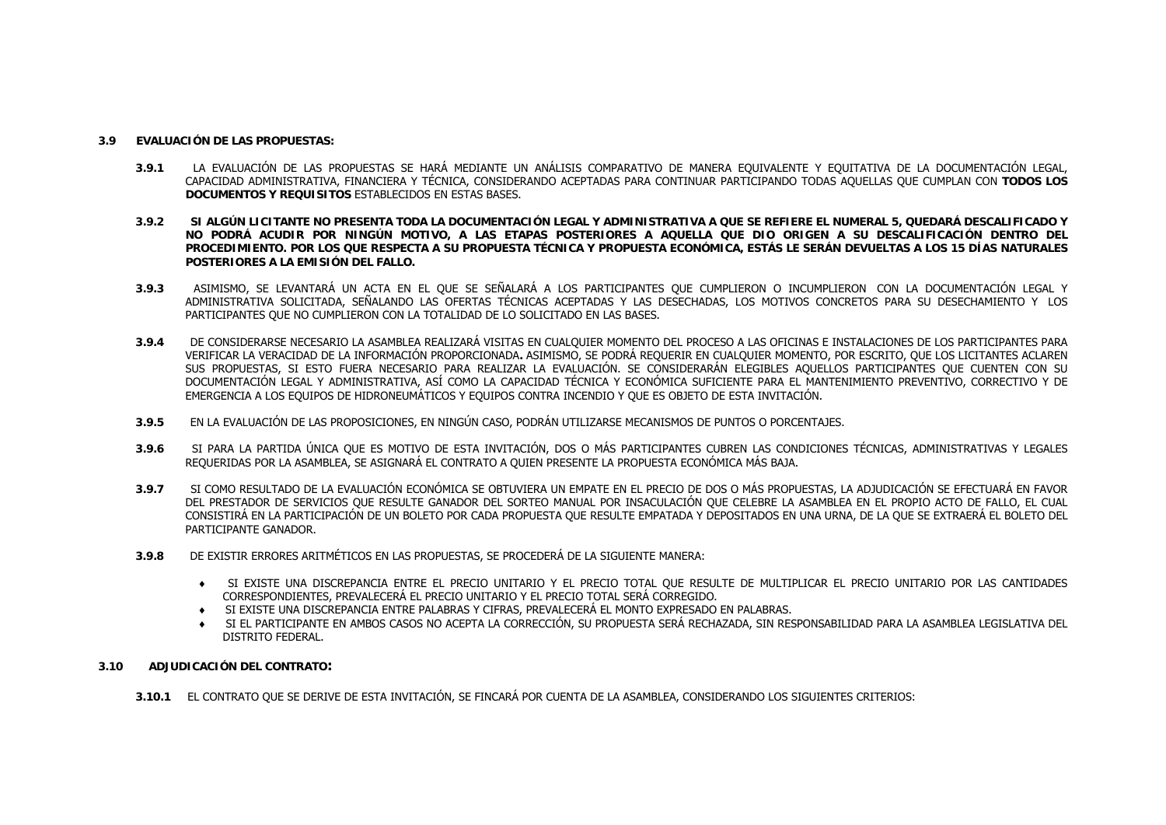#### **3.9EVALUACIÓN DE LAS PROPUESTAS:**

- **3.9.1** LA EVALUACIÓN DE LAS PROPUESTAS SE HARÁ MEDIANTE UN ANÁLISIS COMPARATIVO DE MANERA EQUIVALENTE Y EQUITATIVA DE LA DOCUMENTACIÓN LEGAL, CAPACIDAD ADMINISTRATIVA, FINANCIERA Y TÉCNICA, CONSIDERANDO ACEPTADAS PARA CONTINUAR PARTICIPANDO TODAS AQUELLAS QUE CUMPLAN CON **TODOS LOS DOCUMENTOS Y REQUISITOS** ESTABLECIDOS EN ESTAS BASES.
- **3.9.2 SI ALGÚN LICITANTE NO PRESENTA TODA LA DOCUMENTACIÓN LEGAL Y ADMINISTRATIVA A QUE SE REFIERE EL NUMERAL 5, QUEDARÁ DESCALIFICADO Y NO PODRÁ ACUDIR POR NINGÚN MOTIVO, A LAS ETAPAS POSTERIORES A AQUELLA QUE DIO ORIGEN A SU DESCALIFICACIÓN DENTRO DEL PROCEDIMIENTO. POR LOS QUE RESPECTA A SU PROPUESTA TÉCNICA Y PROPUESTA ECONÓMICA, ESTÁS LE SERÁN DEVUELTAS A LOS 15 DÍAS NATURALES POSTERIORES A LA EMISIÓN DEL FALLO.**
- **3.9.3** ASIMISMO, SE LEVANTARÁ UN ACTA EN EL QUE SE SEÑALARÁ A LOS PARTICIPANTES QUE CUMPLIERON O INCUMPLIERON CON LA DOCUMENTACIÓN LEGAL Y ADMINISTRATIVA SOLICITADA, SEÑALANDO LAS OFERTAS TÉCNICAS ACEPTADAS Y LAS DESECHADAS, LOS MOTIVOS CONCRETOS PARA SU DESECHAMIENTO Y LOS PARTICIPANTES QUE NO CUMPLIERON CON LA TOTALIDAD DE LO SOLICITADO EN LAS BASES.
- **3.9.4** DE CONSIDERARSE NECESARIO LA ASAMBLEA REALIZARÁ VISITAS EN CUALQUIER MOMENTO DEL PROCESO A LAS OFICINAS E INSTALACIONES DE LOS PARTICIPANTES PARA VERIFICAR LA VERACIDAD DE LA INFORMACIÓN PROPORCIONADA**.** ASIMISMO, SE PODRÁ REQUERIR EN CUALQUIER MOMENTO, POR ESCRITO, QUE LOS LICITANTES ACLAREN SUS PROPUESTAS, SI ESTO FUERA NECESARIO PARA REALIZAR LA EVALUACIÓN. SE CONSIDERARÁN ELEGIBLES AQUELLOS PARTICIPANTES QUE CUENTEN CON SU DOCUMENTACIÓN LEGAL Y ADMINISTRATIVA, ASÍ COMO LA CAPACIDAD TÉCNICA Y ECONÓMICA SUFICIENTE PARA EL MANTENIMIENTO PREVENTIVO, CORRECTIVO Y DE EMERGENCIA A LOS EQUIPOS DE HIDRONEUMÁTICOS Y EQUIPOS CONTRA INCENDIO Y QUE ES OBJETO DE ESTA INVITACIÓN.
- **3.9.5**EN LA EVALUACIÓN DE LAS PROPOSICIONES, EN NINGÚN CASO, PODRÁN UTILIZARSE MECANISMOS DE PUNTOS O PORCENTAJES.
- **3.9.6** SI PARA LA PARTIDA ÚNICA QUE ES MOTIVO DE ESTA INVITACIÓN, DOS O MÁS PARTICIPANTES CUBREN LAS CONDICIONES TÉCNICAS, ADMINISTRATIVAS Y LEGALES REQUERIDAS POR LA ASAMBLEA, SE ASIGNARÁ EL CONTRATO A QUIEN PRESENTE LA PROPUESTA ECONÓMICA MÁS BAJA.
- **3.9.7** SI COMO RESULTADO DE LA EVALUACIÓN ECONÓMICA SE OBTUVIERA UN EMPATE EN EL PRECIO DE DOS O MÁS PROPUESTAS, LA ADJUDICACIÓN SE EFECTUARÁ EN FAVOR DEL PRESTADOR DE SERVICIOS QUE RESULTE GANADOR DEL SORTEO MANUAL POR INSACULACIÓN QUE CELEBRE LA ASAMBLEA EN EL PROPIO ACTO DE FALLO, EL CUAL CONSISTIRÁ EN LA PARTICIPACIÓN DE UN BOLETO POR CADA PROPUESTA QUE RESULTE EMPATADA Y DEPOSITADOS EN UNA URNA, DE LA QUE SE EXTRAERÁ EL BOLETO DEL PARTICIPANTE GANADOR.
- **3.9.8** DE EXISTIR ERRORES ARITMÉTICOS EN LAS PROPUESTAS, SE PROCEDERÁ DE LA SIGUIENTE MANERA:
	- ♦ SI EXISTE UNA DISCREPANCIA ENTRE EL PRECIO UNITARIO Y EL PRECIO TOTAL QUE RESULTE DE MULTIPLICAR EL PRECIO UNITARIO POR LAS CANTIDADES CORRESPONDIENTES, PREVALECERÁ EL PRECIO UNITARIO Y EL PRECIO TOTAL SERÁ CORREGIDO.
	- ♦ SI EXISTE UNA DISCREPANCIA ENTRE PALABRAS Y CIFRAS, PREVALECERÁ EL MONTO EXPRESADO EN PALABRAS.
	- ♦ SI EL PARTICIPANTE EN AMBOS CASOS NO ACEPTA LA CORRECCIÓN, SU PROPUESTA SERÁ RECHAZADA, SIN RESPONSABILIDAD PARA LA ASAMBLEA LEGISLATIVA DEL DISTRITO FEDERAL.
- **3.10 ADJUDICACIÓN DEL CONTRATO:**
	- **3.10.1** EL CONTRATO QUE SE DERIVE DE ESTA INVITACIÓN, SE FINCARÁ POR CUENTA DE LA ASAMBLEA, CONSIDERANDO LOS SIGUIENTES CRITERIOS: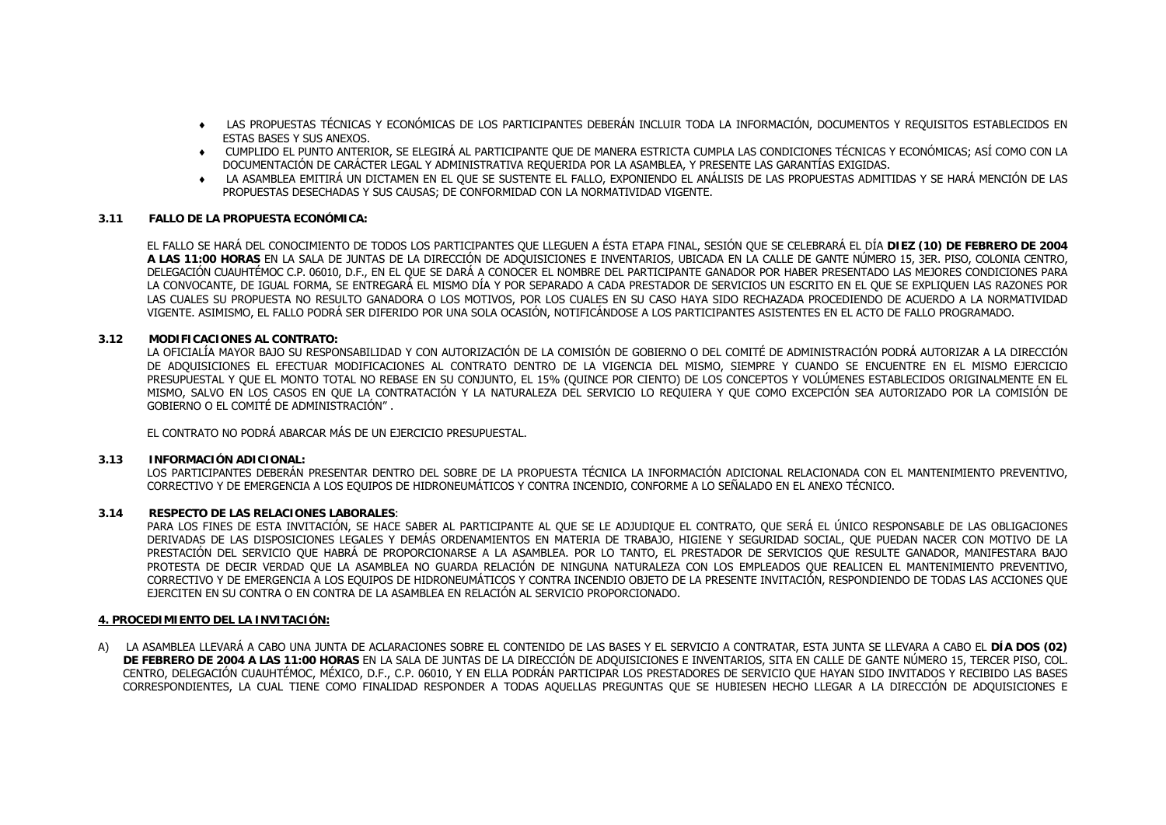- ♦ LAS PROPUESTAS TÉCNICAS Y ECONÓMICAS DE LOS PARTICIPANTES DEBERÁN INCLUIR TODA LA INFORMACIÓN, DOCUMENTOS Y REQUISITOS ESTABLECIDOS EN ESTAS BASES Y SUS ANEXOS.
- ♦ CUMPLIDO EL PUNTO ANTERIOR, SE ELEGIRÁ AL PARTICIPANTE QUE DE MANERA ESTRICTA CUMPLA LAS CONDICIONES TÉCNICAS Y ECONÓMICAS; ASÍ COMO CON LA DOCUMENTACIÓN DE CARÁCTER LEGAL Y ADMINISTRATIVA REQUERIDA POR LA ASAMBLEA, Y PRESENTE LAS GARANTÍAS EXIGIDAS.
- ♦ LA ASAMBLEA EMITIRÁ UN DICTAMEN EN EL QUE SE SUSTENTE EL FALLO, EXPONIENDO EL ANÁLISIS DE LAS PROPUESTAS ADMITIDAS Y SE HARÁ MENCIÓN DE LAS PROPUESTAS DESECHADAS Y SUS CAUSAS; DE CONFORMIDAD CON LA NORMATIVIDAD VIGENTE.

#### **3.11 FALLO DE LA PROPUESTA ECONÓMICA:**

EL FALLO SE HARÁ DEL CONOCIMIENTO DE TODOS LOS PARTICIPANTES QUE LLEGUEN A ÉSTA ETAPA FINAL, SESIÓN QUE SE CELEBRARÁ EL DÍA **DIEZ (10) DE FEBRERO DE 2004 A LAS 11:00 HORAS** EN LA SALA DE JUNTAS DE LA DIRECCIÓN DE ADQUISICIONES E INVENTARIOS, UBICADA EN LA CALLE DE GANTE NÚMERO 15, 3ER. PISO, COLONIA CENTRO, DELEGACIÓN CUAUHTÉMOC C.P. 06010, D.F., EN EL QUE SE DARÁ A CONOCER EL NOMBRE DEL PARTICIPANTE GANADOR POR HABER PRESENTADO LAS MEJORES CONDICIONES PARA LA CONVOCANTE, DE IGUAL FORMA, SE ENTREGARÁ EL MISMO DÍA Y POR SEPARADO A CADA PRESTADOR DE SERVICIOS UN ESCRITO EN EL QUE SE EXPLIQUEN LAS RAZONES POR LAS CUALES SU PROPUESTA NO RESULTO GANADORA O LOS MOTIVOS, POR LOS CUALES EN SU CASO HAYA SIDO RECHAZADA PROCEDIENDO DE ACUERDO A LA NORMATIVIDAD VIGENTE. ASIMISMO, EL FALLO PODRÁ SER DIFERIDO POR UNA SOLA OCASIÓN, NOTIFICÁNDOSE A LOS PARTICIPANTES ASISTENTES EN EL ACTO DE FALLO PROGRAMADO.

#### **3.12 MODIFICACIONES AL CONTRATO:**

LA OFICIALÍA MAYOR BAJO SU RESPONSABILIDAD Y CON AUTORIZACIÓN DE LA COMISIÓN DE GOBIERNO O DEL COMITÉ DE ADMINISTRACIÓN PODRÁ AUTORIZAR A LA DIRECCIÓN DE ADQUISICIONES EL EFECTUAR MODIFICACIONES AL CONTRATO DENTRO DE LA VIGENCIA DEL MISMO, SIEMPRE Y CUANDO SE ENCUENTRE EN EL MISMO EJERCICIO PRESUPUESTAL Y QUE EL MONTO TOTAL NO REBASE EN SU CONJUNTO, EL 15% (QUINCE POR CIENTO) DE LOS CONCEPTOS Y VOLÚMENES ESTABLECIDOS ORIGINALMENTE EN EL MISMO, SALVO EN LOS CASOS EN QUE LA CONTRATACIÓN Y LA NATURALEZA DEL SERVICIO LO REQUIERA Y QUE COMO EXCEPCIÓN SEA AUTORIZADO POR LA COMISIÓN DE GOBIERNO O EL COMITÉ DE ADMINISTRACIÓN" .

EL CONTRATO NO PODRÁ ABARCAR MÁS DE UN EJERCICIO PRESUPUESTAL.

#### **3.13 INFORMACIÓN ADICIONAL:**

LOS PARTICIPANTES DEBERÁN PRESENTAR DENTRO DEL SOBRE DE LA PROPUESTA TÉCNICA LA INFORMACIÓN ADICIONAL RELACIONADA CON EL MANTENIMIENTO PREVENTIVO, CORRECTIVO Y DE EMERGENCIA A LOS EQUIPOS DE HIDRONEUMÁTICOS Y CONTRA INCENDIO, CONFORME A LO SEÑALADO EN EL ANEXO TÉCNICO.

### **3.14 RESPECTO DE LAS RELACIONES LABORALES**:

PARA LOS FINES DE ESTA INVITACIÓN, SE HACE SABER AL PARTICIPANTE AL QUE SE LE ADJUDIQUE EL CONTRATO, QUE SERÁ EL ÚNICO RESPONSABLE DE LAS OBLIGACIONES DERIVADAS DE LAS DISPOSICIONES LEGALES Y DEMÁS ORDENAMIENTOS EN MATERIA DE TRABAJO, HIGIENE Y SEGURIDAD SOCIAL, QUE PUEDAN NACER CON MOTIVO DE LA PRESTACIÓN DEL SERVICIO QUE HABRÁ DE PROPORCIONARSE A LA ASAMBLEA. POR LO TANTO, EL PRESTADOR DE SERVICIOS QUE RESULTE GANADOR, MANIFESTARA BAJO PROTESTA DE DECIR VERDAD QUE LA ASAMBLEA NO GUARDA RELACIÓN DE NINGUNA NATURALEZA CON LOS EMPLEADOS QUE REALICEN EL MANTENIMIENTO PREVENTIVO, CORRECTIVO Y DE EMERGENCIA A LOS EQUIPOS DE HIDRONEUMÁTICOS Y CONTRA INCENDIO OBJETO DE LA PRESENTE INVITACIÓN, RESPONDIENDO DE TODAS LAS ACCIONES QUE EJERCITEN EN SU CONTRA O EN CONTRA DE LA ASAMBLEA EN RELACIÓN AL SERVICIO PROPORCIONADO.

#### **4. PROCEDIMIENTO DEL LA INVITACIÓN:**

A) LA ASAMBLEA LLEVARÁ A CABO UNA JUNTA DE ACLARACIONES SOBRE EL CONTENIDO DE LAS BASES Y EL SERVICIO A CONTRATAR, ESTA JUNTA SE LLEVARA A CABO EL **DÍA DOS (02) DE FEBRERO DE 2004 A LAS 11:00 HORAS** EN LA SALA DE JUNTAS DE LA DIRECCIÓN DE ADQUISICIONES E INVENTARIOS, SITA EN CALLE DE GANTE NÚMERO 15, TERCER PISO, COL. CENTRO, DELEGACIÓN CUAUHTÉMOC, MÉXICO, D.F., C.P. 06010, Y EN ELLA PODRÁN PARTICIPAR LOS PRESTADORES DE SERVICIO QUE HAYAN SIDO INVITADOS Y RECIBIDO LAS BASES CORRESPONDIENTES, LA CUAL TIENE COMO FINALIDAD RESPONDER A TODAS AQUELLAS PREGUNTAS QUE SE HUBIESEN HECHO LLEGAR A LA DIRECCIÓN DE ADQUISICIONES E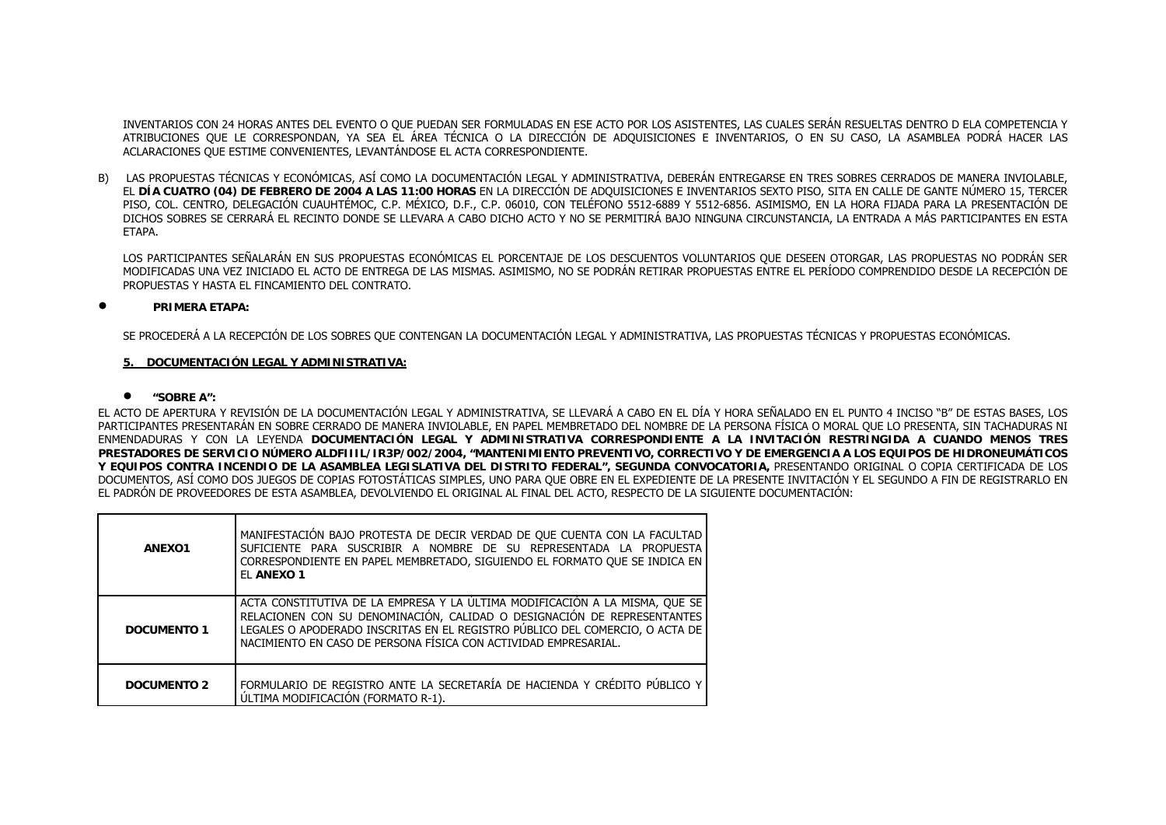INVENTARIOS CON 24 HORAS ANTES DEL EVENTO O QUE PUEDAN SER FORMULADAS EN ESE ACTO POR LOS ASISTENTES, LAS CUALES SERÁN RESUELTAS DENTRO D ELA COMPETENCIA Y ATRIBUCIONES QUE LE CORRESPONDAN, YA SEA EL ÁREA TÉCNICA O LA DIRECCIÓN DE ADQUISICIONES E INVENTARIOS, O EN SU CASO, LA ASAMBLEA PODRÁ HACER LAS ACLARACIONES QUE ESTIME CONVENIENTES, LEVANTÁNDOSE EL ACTA CORRESPONDIENTE.

B) LAS PROPUESTAS TÉCNICAS Y ECONÓMICAS, ASÍ COMO LA DOCUMENTACIÓN LEGAL Y ADMINISTRATIVA, DEBERÁN ENTREGARSE EN TRES SOBRES CERRADOS DE MANERA INVIOLABLE, EL **DÍA CUATRO (04) DE FEBRERO DE 2004 A LAS 11:00 HORAS** EN LA DIRECCIÓN DE ADQUISICIONES E INVENTARIOS SEXTO PISO, SITA EN CALLE DE GANTE NÚMERO 15, TERCER PISO, COL. CENTRO, DELEGACIÓN CUAUHTÉMOC, C.P. MÉXICO, D.F., C.P. 06010, CON TELÉFONO 5512-6889 Y 5512-6856. ASIMISMO, EN LA HORA FIJADA PARA LA PRESENTACIÓN DE DICHOS SOBRES SE CERRARÁ EL RECINTO DONDE SE LLEVARA A CABO DICHO ACTO Y NO SE PERMITIRÁ BAJO NINGUNA CIRCUNSTANCIA, LA ENTRADA A MÁS PARTICIPANTES EN ESTA **FTAPA** 

LOS PARTICIPANTES SEÑALARÁN EN SUS PROPUESTAS ECONÓMICAS EL PORCENTAJE DE LOS DESCUENTOS VOLUNTARIOS QUE DESEEN OTORGAR, LAS PROPUESTAS NO PODRÁN SER MODIFICADAS UNA VEZ INICIADO EL ACTO DE ENTREGA DE LAS MISMAS. ASIMISMO, NO SE PODRÁN RETIRAR PROPUESTAS ENTRE EL PERÍODO COMPRENDIDO DESDE LA RECEPCIÓN DE PROPUESTAS Y HASTA EL FINCAMIENTO DEL CONTRATO.

#### •**PRIMERA ETAPA:**

SE PROCEDERÁ A LA RECEPCIÓN DE LOS SOBRES QUE CONTENGAN LA DOCUMENTACIÓN LEGAL Y ADMINISTRATIVA, LAS PROPUESTAS TÉCNICAS Y PROPUESTAS ECONÓMICAS.

### **5. DOCUMENTACIÓN LEGAL Y ADMINISTRATIVA:**

#### • **"SOBRE A":**

EL ACTO DE APERTURA Y REVISIÓN DE LA DOCUMENTACIÓN LEGAL Y ADMINISTRATIVA, SE LLEVARÁ A CABO EN EL DÍA Y HORA SEÑALADO EN EL PUNTO 4 INCISO "B" DE ESTAS BASES, LOS PARTICIPANTES PRESENTARÁN EN SOBRE CERRADO DE MANERA INVIOLABLE, EN PAPEL MEMBRETADO DEL NOMBRE DE LA PERSONA FÍSICA O MORAL QUE LO PRESENTA, SIN TACHADURAS NI ENMENDADURAS Y CON LA LEYENDA **DOCUMENTACIÓN LEGAL Y ADMINISTRATIVA CORRESPONDIENTE A LA INVITACIÓN RESTRINGIDA A CUANDO MENOS TRES PRESTADORES DE SERVICIO NÚMERO ALDFIIIL/IR3P/002/2004, "MANTENIMIENTO PREVENTIVO, CORRECTIVO Y DE EMERGENCIA A LOS EQUIPOS DE HIDRONEUMÁTICOS Y EQUIPOS CONTRA INCENDIO DE LA ASAMBLEA LEGISLATIVA DEL DISTRITO FEDERAL", SEGUNDA CONVOCATORIA,** PRESENTANDO ORIGINAL O COPIA CERTIFICADA DE LOS DOCUMENTOS, ASÍ COMO DOS JUEGOS DE COPIAS FOTOSTÁTICAS SIMPLES, UNO PARA QUE OBRE EN EL EXPEDIENTE DE LA PRESENTE INVITACIÓN Y EL SEGUNDO A FIN DE REGISTRARLO EN EL PADRÓN DE PROVEEDORES DE ESTA ASAMBLEA, DEVOLVIENDO EL ORIGINAL AL FINAL DEL ACTO, RESPECTO DE LA SIGUIENTE DOCUMENTACIÓN:

| ANEX01             | MANIFESTACIÓN BAJO PROTESTA DE DECIR VERDAD DE QUE CUENTA CON LA FACULTAD<br>SUFICIENTE PARA SUSCRIBIR A NOMBRE DE SU REPRESENTADA LA PROPUESTA<br>CORRESPONDIENTE EN PAPEL MEMBRETADO, SIGUIENDO EL FORMATO QUE SE INDICA EN<br>EL ANEXO 1                                                               |
|--------------------|-----------------------------------------------------------------------------------------------------------------------------------------------------------------------------------------------------------------------------------------------------------------------------------------------------------|
| DOCUMENTO 1        | ACTA CONSTITUTIVA DE LA EMPRESA Y LA ÚLTIMA MODIFICACIÓN A LA MISMA, QUE SE<br>RELACIONEN CON SU DENOMINACIÓN, CALIDAD O DESIGNACIÓN DE REPRESENTANTES<br>LEGALES O APODERADO INSCRITAS EN EL REGISTRO PÚBLICO DEL COMERCIO, O ACTA DE<br>NACIMIENTO EN CASO DE PERSONA FÍSICA CON ACTIVIDAD EMPRESARIAL. |
| <b>DOCUMENTO 2</b> | FORMULARIO DE REGISTRO ANTE LA SECRETARÍA DE HACIENDA Y CRÉDITO PÚBLICO Y<br>ULTIMA MODIFICACIÓN (FORMATO R-1).                                                                                                                                                                                           |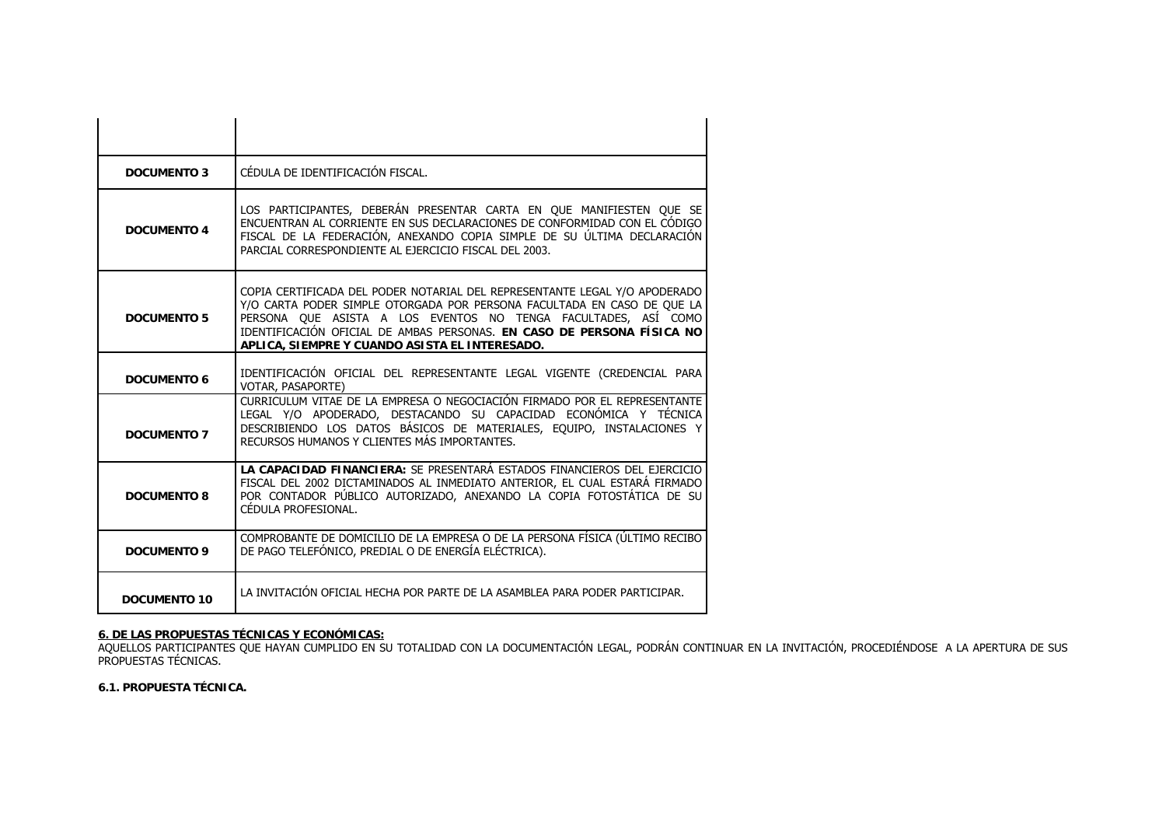| <b>DOCUMENTO 3</b>  | CÉDULA DE IDENTIFICACIÓN FISCAL.                                                                                                                                                                                                                                                                                                                    |
|---------------------|-----------------------------------------------------------------------------------------------------------------------------------------------------------------------------------------------------------------------------------------------------------------------------------------------------------------------------------------------------|
| <b>DOCUMENTO 4</b>  | LOS PARTICIPANTES, DEBERÁN PRESENTAR CARTA EN QUE MANIFIESTEN QUE SE<br>ENCUENTRAN AL CORRIENTE EN SUS DECLARACIONES DE CONFORMIDAD CON EL CÓDIGO<br>FISCAL DE LA FEDERACIÓN, ANEXANDO COPIA SIMPLE DE SU ÚLTIMA DECLARACIÓN<br>PARCIAL CORRESPONDIENTE AL EJERCICIO FISCAL DEL 2003.                                                               |
| <b>DOCUMENTO 5</b>  | COPIA CERTIFICADA DEL PODER NOTARIAL DEL REPRESENTANTE LEGAL Y/O APODERADO<br>Y/O CARTA PODER SIMPLE OTORGADA POR PERSONA FACULTADA EN CASO DE QUE LA<br>PERSONA QUE ASISTA A LOS EVENTOS NO TENGA FACULTADES, ASÍ COMO<br>IDENTIFICACIÓN OFICIAL DE AMBAS PERSONAS. EN CASO DE PERSONA FÍSICA NO<br>APLICA, SIEMPRE Y CUANDO ASISTA EL INTERESADO. |
| <b>DOCUMENTO 6</b>  | IDENTIFICACIÓN OFICIAL DEL REPRESENTANTE LEGAL VIGENTE (CREDENCIAL PARA<br>VOTAR, PASAPORTE)                                                                                                                                                                                                                                                        |
| <b>DOCUMENTO 7</b>  | CURRICULUM VITAE DE LA EMPRESA O NEGOCIACIÓN FIRMADO POR EL REPRESENTANTE<br>LEGAL Y/O APODERADO, DESTACANDO SU CAPACIDAD ECONÓMICA Y TÉCNICA<br>DESCRIBIENDO LOS DATOS BÁSICOS DE MATERIALES, EQUIPO, INSTALACIONES Y<br>RECURSOS HUMANOS Y CLIENTES MÁS IMPORTANTES.                                                                              |
| <b>DOCUMENTO 8</b>  | LA CAPACIDAD FINANCIERA: SE PRESENTARÁ ESTADOS FINANCIEROS DEL EJERCICIO<br>FISCAL DEL 2002 DICTAMINADOS AL INMEDIATO ANTERIOR, EL CUAL ESTARÁ FIRMADO<br>POR CONTADOR PÚBLICO AUTORIZADO, ANEXANDO LA COPIA FOTOSTÁTICA DE SU<br>CÉDULA PROFESIONAL.                                                                                               |
| <b>DOCUMENTO 9</b>  | COMPROBANTE DE DOMICILIO DE LA EMPRESA O DE LA PERSONA FÍSICA (ÚLTIMO RECIBO<br>DE PAGO TELEFÓNICO, PREDIAL O DE ENERGÍA ELÉCTRICA).                                                                                                                                                                                                                |
| <b>DOCUMENTO 10</b> | LA INVITACIÓN OFICIAL HECHA POR PARTE DE LA ASAMBLEA PARA PODER PARTICIPAR.                                                                                                                                                                                                                                                                         |

<mark>6. DE LAS PROPUESTAS TÉCNICAS Y ECONÓMICAS:</mark><br>AQUELLOS PARTICIPANTES QUE HAYAN CUMPLIDO EN SU TOTALIDAD CON LA DOCUMENTACIÓN LEGAL, PODRÁN CONTINUAR EN LA INVITACIÓN, PROCEDIÉNDOSE A LA APERTURA DE SUS PROPUESTAS TÉCNICAS.

**6.1. PROPUESTA TÉCNICA.**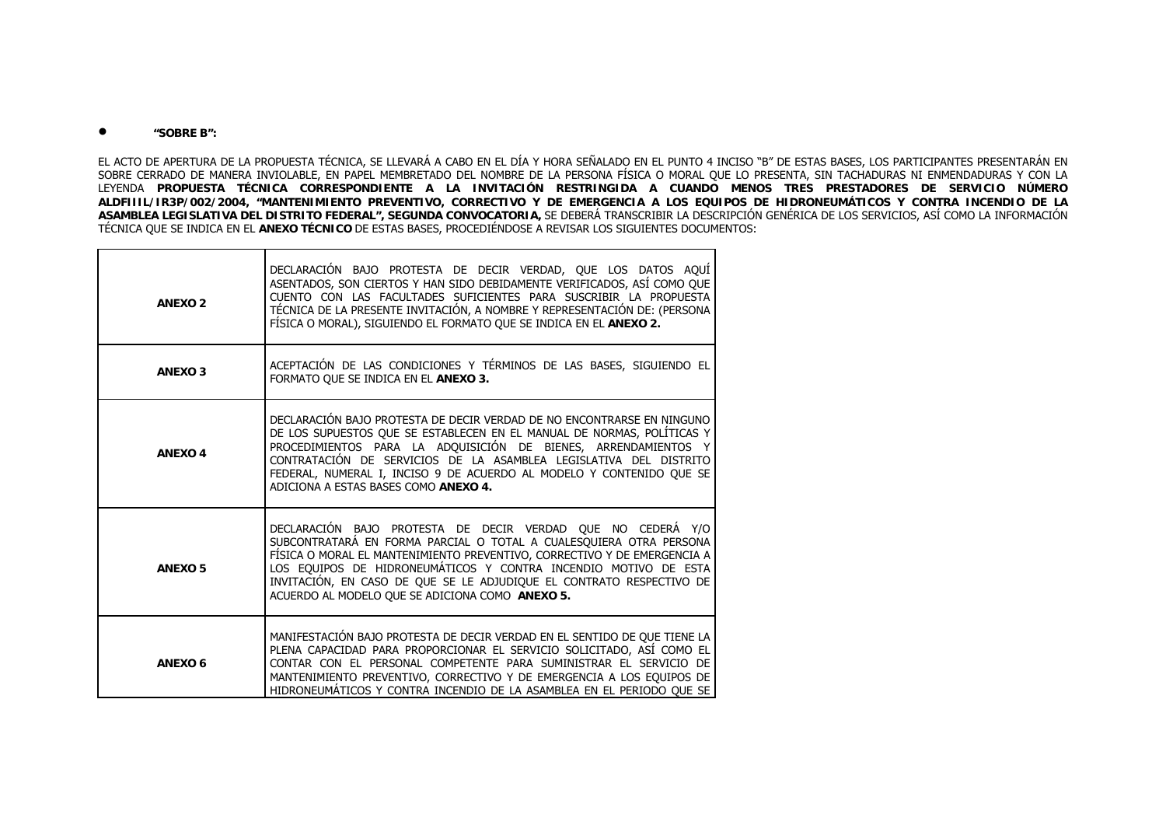#### •**"SOBRE B":**

EL ACTO DE APERTURA DE LA PROPUESTA TÉCNICA, SE LLEVARÁ A CABO EN EL DÍA Y HORA SEÑALADO EN EL PUNTO 4 INCISO "B" DE ESTAS BASES, LOS PARTICIPANTES PRESENTARÁN EN SOBRE CERRADO DE MANERA INVIOLABLE, EN PAPEL MEMBRETADO DEL NOMBRE DE LA PERSONA FÍSICA O MORAL QUE LO PRESENTA, SIN TACHADURAS NI ENMENDADURAS Y CON LA LEYENDA **PROPUESTA TÉCNICA CORRESPONDIENTE A LA INVITACIÓN RESTRINGIDA A CUANDO MENOS TRES PRESTADORES DE SERVICIO NÚMERO ALDFIIIL/IR3P/002/2004, "MANTENIMIENTO PREVENTIVO, CORRECTIVO Y DE EMERGENCIA A LOS EQUIPOS DE HIDRONEUMÁTICOS Y CONTRA INCENDIO DE LA ASAMBLEA LEGISLATIVA DEL DISTRITO FEDERAL", SEGUNDA CONVOCATORIA,** SE DEBERÁ TRANSCRIBIR LA DESCRIPCIÓN GENÉRICA DE LOS SERVICIOS, ASÍ COMO LA INFORMACIÓN TÉCNICA QUE SE INDICA EN EL **ANEXO TÉCNICO** DE ESTAS BASES, PROCEDIÉNDOSE A REVISAR LOS SIGUIENTES DOCUMENTOS:

| <b>ANEXO 2</b> | DECLARACIÓN BAJO PROTESTA DE DECIR VERDAD, QUE LOS DATOS AQUÍ<br>ASENTADOS, SON CIERTOS Y HAN SIDO DEBIDAMENTE VERIFICADOS, ASÍ COMO QUE<br>CUENTO CON LAS FACULTADES SUFICIENTES PARA SUSCRIBIR LA PROPUESTA<br>TÉCNICA DE LA PRESENTE INVITACIÓN, A NOMBRE Y REPRESENTACIÓN DE: (PERSONA<br>FÍSICA O MORAL), SIGUIENDO EL FORMATO QUE SE INDICA EN EL ANEXO 2.                                            |
|----------------|-------------------------------------------------------------------------------------------------------------------------------------------------------------------------------------------------------------------------------------------------------------------------------------------------------------------------------------------------------------------------------------------------------------|
| <b>ANEXO3</b>  | ACEPTACIÓN DE LAS CONDICIONES Y TÉRMINOS DE LAS BASES, SIGUIENDO EL<br>FORMATO QUE SE INDICA EN EL ANEXO 3.                                                                                                                                                                                                                                                                                                 |
| <b>ANEXO4</b>  | DECLARACIÓN BAJO PROTESTA DE DECIR VERDAD DE NO ENCONTRARSE EN NINGUNO<br>DE LOS SUPUESTOS QUE SE ESTABLECEN EN EL MANUAL DE NORMAS, POLÍTICAS Y<br>PROCEDIMIENTOS PARA LA ADQUISICIÓN DE BIENES, ARRENDAMIENTOS Y<br>CONTRATACIÓN DE SERVICIOS DE LA ASAMBLEA LEGISLATIVA DEL DISTRITO<br>FEDERAL, NUMERAL I, INCISO 9 DE ACUERDO AL MODELO Y CONTENIDO QUE SE<br>ADICIONA A ESTAS BASES COMO ANEXO 4.     |
| <b>ANEXO 5</b> | DECLARACIÓN BAJO PROTESTA DE DECIR VERDAD QUE NO CEDERÁ Y/O<br>SUBCONTRATARÁ EN FORMA PARCIAL O TOTAL A CUALESQUIERA OTRA PERSONA<br>FÍSICA O MORAL EL MANTENIMIENTO PREVENTIVO, CORRECTIVO Y DE EMERGENCIA A<br>LOS EQUIPOS DE HIDRONEUMÁTICOS Y CONTRA INCENDIO MOTIVO DE ESTA<br>INVITACIÓN, EN CASO DE QUE SE LE ADJUDIQUE EL CONTRATO RESPECTIVO DE<br>ACUERDO AL MODELO QUE SE ADICIONA COMO ANEXO 5. |
| ANEXO 6        | MANIFESTACIÓN BAJO PROTESTA DE DECIR VERDAD EN EL SENTIDO DE QUE TIENE LA<br>PLENA CAPACIDAD PARA PROPORCIONAR EL SERVICIO SOLICITADO, ASÍ COMO EL<br>CONTAR CON EL PERSONAL COMPETENTE PARA SUMINISTRAR EL SERVICIO DE<br>MANTENIMIENTO PREVENTIVO, CORRECTIVO Y DE EMERGENCIA A LOS EQUIPOS DE<br>HIDRONEUMÁTICOS Y CONTRA INCENDIO DE LA ASAMBLEA EN EL PERIODO OUE SE                                   |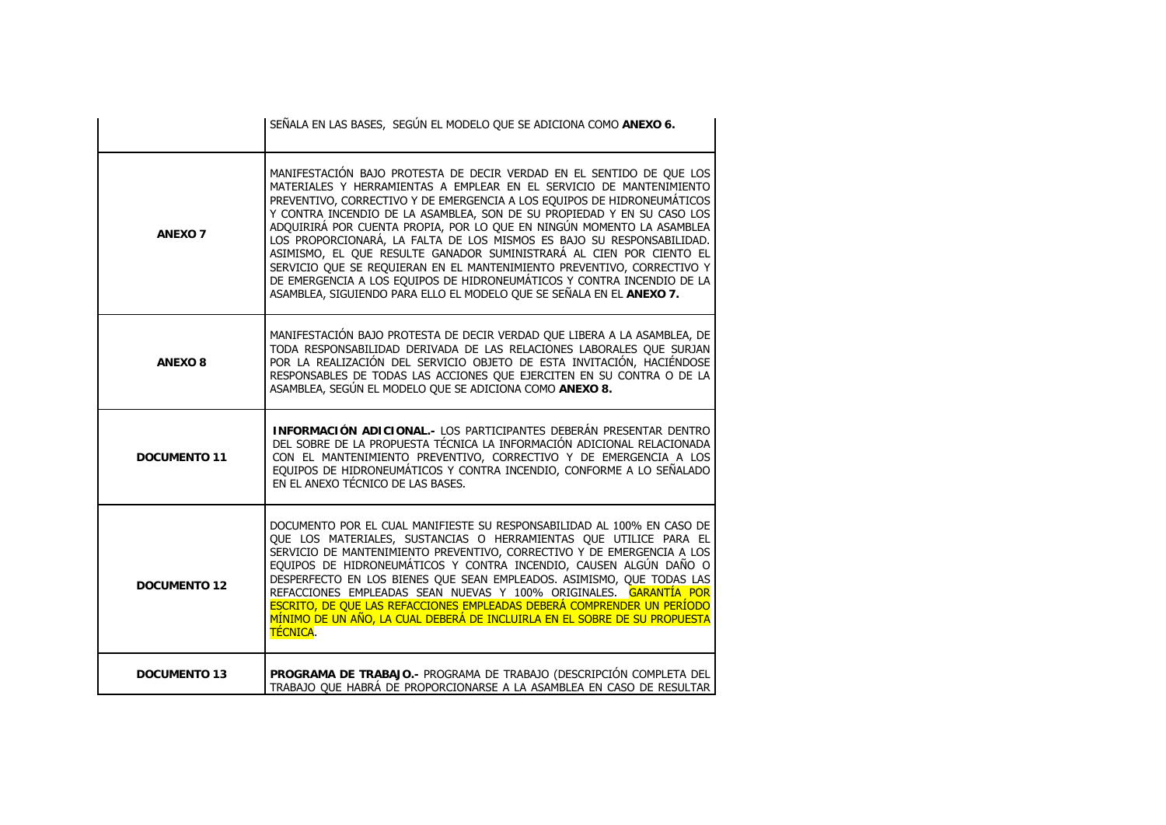|                          | SEÑALA EN LAS BASES, SEGÚN EL MODELO QUE SE ADICIONA COMO ANEXO 6.                                                                                                                                                                                                                                                                                                                                                                                                                                                                                                                                                                                                                                                                                    |
|--------------------------|-------------------------------------------------------------------------------------------------------------------------------------------------------------------------------------------------------------------------------------------------------------------------------------------------------------------------------------------------------------------------------------------------------------------------------------------------------------------------------------------------------------------------------------------------------------------------------------------------------------------------------------------------------------------------------------------------------------------------------------------------------|
| <b>ANEXO 7</b>           | MANIFESTACIÓN BAJO PROTESTA DE DECIR VERDAD EN EL SENTIDO DE QUE LOS<br>MATERIALES Y HERRAMIENTAS A EMPLEAR EN EL SERVICIO DE MANTENIMIENTO<br>PREVENTIVO, CORRECTIVO Y DE EMERGENCIA A LOS EQUIPOS DE HIDRONEUMÁTICOS<br>Y CONTRA INCENDIO DE LA ASAMBLEA, SON DE SU PROPIEDAD Y EN SU CASO LOS<br>ADQUIRIRÁ POR CUENTA PROPIA, POR LO QUE EN NINGÚN MOMENTO LA ASAMBLEA<br>LOS PROPORCIONARÁ, LA FALTA DE LOS MISMOS ES BAJO SU RESPONSABILIDAD.<br>ASIMISMO, EL QUE RESULTE GANADOR SUMINISTRARÁ AL CIEN POR CIENTO EL<br>SERVICIO QUE SE REQUIERAN EN EL MANTENIMIENTO PREVENTIVO, CORRECTIVO Y<br>DE EMERGENCIA A LOS EQUIPOS DE HIDRONEUMÁTICOS Y CONTRA INCENDIO DE LA<br>ASAMBLEA, SIGUIENDO PARA ELLO EL MODELO QUE SE SEÑALA EN EL ANEXO 7. |
| <b>ANEXO<sub>8</sub></b> | MANIFESTACIÓN BAJO PROTESTA DE DECIR VERDAD QUE LIBERA A LA ASAMBLEA, DE<br>TODA RESPONSABILIDAD DERIVADA DE LAS RELACIONES LABORALES QUE SURJAN<br>POR LA REALIZACIÓN DEL SERVICIO OBJETO DE ESTA INVITACIÓN, HACIÉNDOSE<br>RESPONSABLES DE TODAS LAS ACCIONES QUE EJERCITEN EN SU CONTRA O DE LA<br>ASAMBLEA, SEGÚN EL MODELO QUE SE ADICIONA COMO ANEXO 8.                                                                                                                                                                                                                                                                                                                                                                                         |
| <b>DOCUMENTO 11</b>      | INFORMACIÓN ADICIONAL.- LOS PARTICIPANTES DEBERÁN PRESENTAR DENTRO<br>DEL SOBRE DE LA PROPUESTA TÉCNICA LA INFORMACIÓN ADICIONAL RELACIONADA<br>CON EL MANTENIMIENTO PREVENTIVO, CORRECTIVO Y DE EMERGENCIA A LOS<br>EQUIPOS DE HIDRONEUMÁTICOS Y CONTRA INCENDIO, CONFORME A LO SEÑALADO<br>EN EL ANEXO TÉCNICO DE LAS BASES.                                                                                                                                                                                                                                                                                                                                                                                                                        |
| <b>DOCUMENTO 12</b>      | DOCUMENTO POR EL CUAL MANIFIESTE SU RESPONSABILIDAD AL 100% EN CASO DE<br>QUE LOS MATERIALES, SUSTANCIAS O HERRAMIENTAS QUE UTILICE PARA EL<br>SERVICIO DE MANTENIMIENTO PREVENTIVO, CORRECTIVO Y DE EMERGENCIA A LOS<br>EQUIPOS DE HIDRONEUMÁTICOS Y CONTRA INCENDIO, CAUSEN ALGÚN DAÑO O<br>DESPERFECTO EN LOS BIENES QUE SEAN EMPLEADOS. ASIMISMO, QUE TODAS LAS<br>REFACCIONES EMPLEADAS SEAN NUEVAS Y 100% ORIGINALES. GARANTÍA POR<br>ESCRITO, DE QUE LAS REFACCIONES EMPLEADAS DEBERÁ COMPRENDER UN PERÍODO<br>MÍNIMO DE UN AÑO, LA CUAL DEBERÁ DE INCLUIRLA EN EL SOBRE DE SU PROPUESTA<br><b>TÉCNICA.</b>                                                                                                                                    |
| <b>DOCUMENTO 13</b>      | PROGRAMA DE TRABAJO.- PROGRAMA DE TRABAJO (DESCRIPCIÓN COMPLETA DEL<br>TRABAJO QUE HABRÁ DE PROPORCIONARSE A LA ASAMBLEA EN CASO DE RESULTAR                                                                                                                                                                                                                                                                                                                                                                                                                                                                                                                                                                                                          |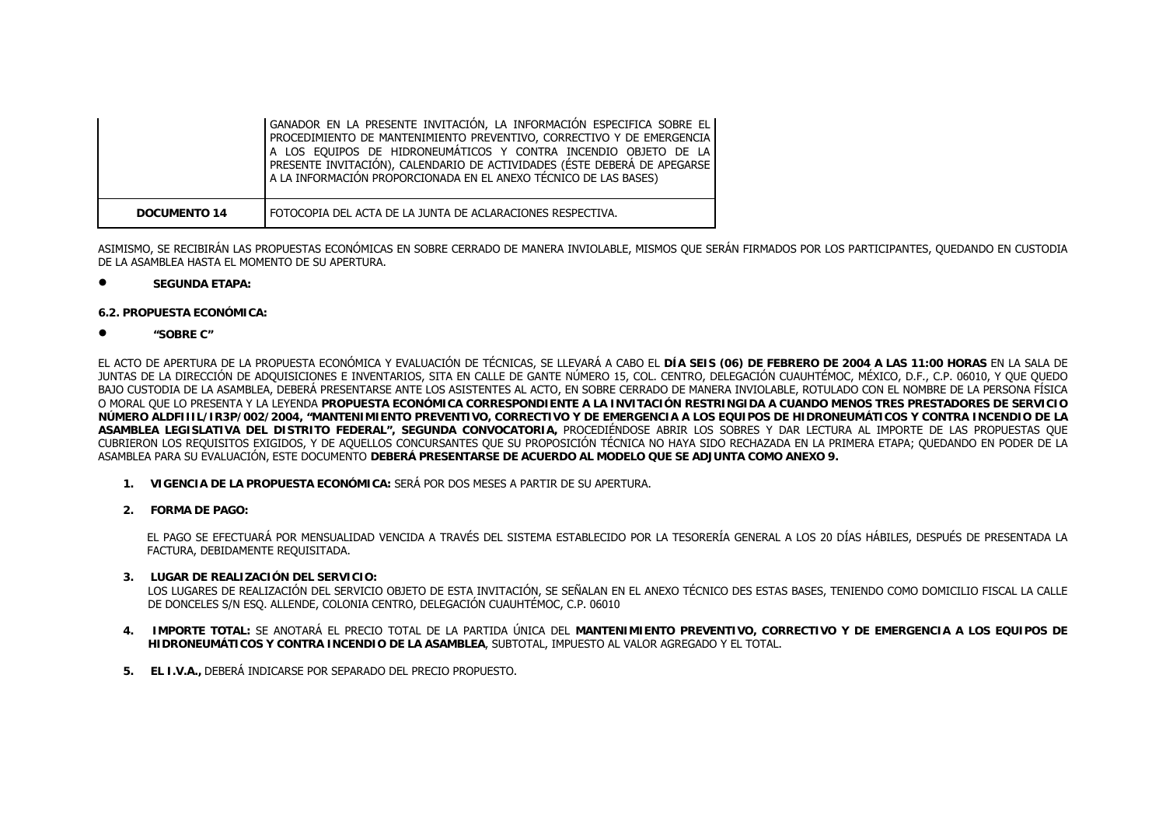|                     | GANADOR EN LA PRESENTE INVITACIÓN, LA INFORMACIÓN ESPECIFICA SOBRE EL<br>PROCEDIMIENTO DE MANTENIMIENTO PREVENTIVO, CORRECTIVO Y DE EMERGENCIA<br>A LOS EQUIPOS DE HIDRONEUMÁTICOS Y CONTRA INCENDIO OBJETO DE LA<br>PRESENTE INVITACIÓN), CALENDARIO DE ACTIVIDADES (ÉSTE DEBERÁ DE APEGARSE<br>A LA INFORMACIÓN PROPORCIONADA EN EL ANEXO TÉCNICO DE LAS BASES) |
|---------------------|-------------------------------------------------------------------------------------------------------------------------------------------------------------------------------------------------------------------------------------------------------------------------------------------------------------------------------------------------------------------|
| <b>DOCUMENTO 14</b> | FOTOCOPIA DEL ACTA DE LA JUNTA DE ACLARACIONES RESPECTIVA.                                                                                                                                                                                                                                                                                                        |

ASIMISMO, SE RECIBIRÁN LAS PROPUESTAS ECONÓMICAS EN SOBRE CERRADO DE MANERA INVIOLABLE, MISMOS QUE SERÁN FIRMADOS POR LOS PARTICIPANTES, QUEDANDO EN CUSTODIA DE LA ASAMBLEA HASTA EL MOMENTO DE SU APERTURA.

•**SEGUNDA ETAPA:**

#### **6.2. PROPUESTA ECONÓMICA:**

•**"SOBRE C"**

EL ACTO DE APERTURA DE LA PROPUESTA ECONÓMICA Y EVALUACIÓN DE TÉCNICAS, SE LLEVARÁ A CABO EL **DÍA SEIS (06) DE FEBRERO DE 2004 A LAS 11:00 HORAS** EN LA SALA DE JUNTAS DE LA DIRECCIÓN DE ADQUISICIONES E INVENTARIOS, SITA EN CALLE DE GANTE NÚMERO 15, COL. CENTRO, DELEGACIÓN CUAUHTÉMOC, MÉXICO, D.F., C.P. 06010, Y QUE QUEDO BAJO CUSTODIA DE LA ASAMBLEA, DEBERÁ PRESENTARSE ANTE LOS ASISTENTES AL ACTO, EN SOBRE CERRADO DE MANERA INVIOLABLE, ROTULADO CON EL NOMBRE DE LA PERSONA FÍSICA O MORAL QUE LO PRESENTA Y LA LEYENDA **PROPUESTA ECONÓMICA CORRESPONDIENTE A LA INVITACIÓN RESTRINGIDA A CUANDO MENOS TRES PRESTADORES DE SERVICIO NÚMERO ALDFIIIL/IR3P/002/2004, "MANTENIMIENTO PREVENTIVO, CORRECTIVO Y DE EMERGENCIA A LOS EQUIPOS DE HIDRONEUMÁTICOS Y CONTRA INCENDIO DE LA ASAMBLEA LEGISLATIVA DEL DISTRITO FEDERAL", SEGUNDA CONVOCATORIA,** PROCEDIÉNDOSE ABRIR LOS SOBRES Y DAR LECTURA AL IMPORTE DE LAS PROPUESTAS QUE CUBRIERON LOS REQUISITOS EXIGIDOS, Y DE AQUELLOS CONCURSANTES QUE SU PROPOSICIÓN TÉCNICA NO HAYA SIDO RECHAZADA EN LA PRIMERA ETAPA; QUEDANDO EN PODER DE LA ASAMBLEA PARA SU EVALUACIÓN, ESTE DOCUMENTO **DEBERÁ PRESENTARSE DE ACUERDO AL MODELO QUE SE ADJUNTA COMO ANEXO 9.**

- **1. VIGENCIA DE LA PROPUESTA ECONÓMICA:** SERÁ POR DOS MESES A PARTIR DE SU APERTURA.
- **2. FORMA DE PAGO:**

EL PAGO SE EFECTUARÁ POR MENSUALIDAD VENCIDA A TRAVÉS DEL SISTEMA ESTABLECIDO POR LA TESORERÍA GENERAL A LOS 20 DÍAS HÁBILES, DESPUÉS DE PRESENTADA LA FACTURA, DEBIDAMENTE REQUISITADA.

#### **3. LUGAR DE REALIZACIÓN DEL SERVICIO:**

LOS LUGARES DE REALIZACIÓN DEL SERVICIO OBJETO DE ESTA INVITACIÓN, SE SEÑALAN EN EL ANEXO TÉCNICO DES ESTAS BASES, TENIENDO COMO DOMICILIO FISCAL LA CALLE DE DONCELES S/N ESQ. ALLENDE, COLONIA CENTRO, DELEGACIÓN CUAUHTÉMOC, C.P. 06010

- **4. IMPORTE TOTAL:** SE ANOTARÁ EL PRECIO TOTAL DE LA PARTIDA ÚNICA DEL **MANTENIMIENTO PREVENTIVO, CORRECTIVO Y DE EMERGENCIA A LOS EQUIPOS DE HIDRONEUMÁTICOS Y CONTRA INCENDIO DE LA ASAMBLEA**, SUBTOTAL, IMPUESTO AL VALOR AGREGADO Y EL TOTAL.
- **5. EL I.V.A.,** DEBERÁ INDICARSE POR SEPARADO DEL PRECIO PROPUESTO.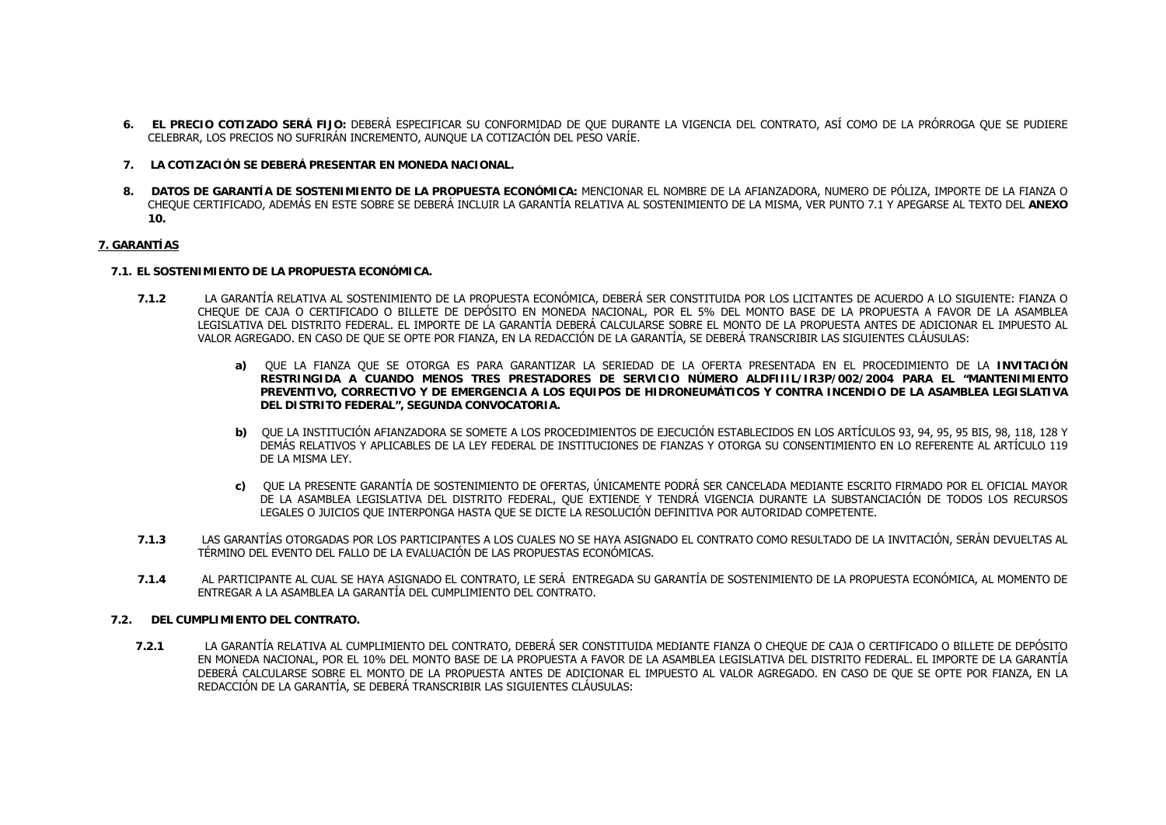- **6. EL PRECIO COTIZADO SERÁ FIJO:** DEBERÁ ESPECIFICAR SU CONFORMIDAD DE QUE DURANTE LA VIGENCIA DEL CONTRATO, ASÍ COMO DE LA PRÓRROGA QUE SE PUDIERE CELEBRAR, LOS PRECIOS NO SUFRIRÁN INCREMENTO, AUNQUE LA COTIZACIÓN DEL PESO VARÍE.
- **7. LA COTIZACIÓN SE DEBERÁ PRESENTAR EN MONEDA NACIONAL.**
- **8. DATOS DE GARANTÍA DE SOSTENIMIENTO DE LA PROPUESTA ECONÓMICA:** MENCIONAR EL NOMBRE DE LA AFIANZADORA, NUMERO DE PÓLIZA, IMPORTE DE LA FIANZA O CHEQUE CERTIFICADO, ADEMÁS EN ESTE SOBRE SE DEBERÁ INCLUIR LA GARANTÍA RELATIVA AL SOSTENIMIENTO DE LA MISMA, VER PUNTO 7.1 Y APEGARSE AL TEXTO DEL **ANEXO 10.**

#### **7. GARANTÍAS**

#### **7.1. EL SOSTENIMIENTO DE LA PROPUESTA ECONÓMICA.**

- **7.1.2** LA GARANTÍA RELATIVA AL SOSTENIMIENTO DE LA PROPUESTA ECONÓMICA, DEBERÁ SER CONSTITUIDA POR LOS LICITANTES DE ACUERDO A LO SIGUIENTE: FIANZA O CHEQUE DE CAJA O CERTIFICADO O BILLETE DE DEPÓSITO EN MONEDA NACIONAL, POR EL 5% DEL MONTO BASE DE LA PROPUESTA A FAVOR DE LA ASAMBLEA LEGISLATIVA DEL DISTRITO FEDERAL. EL IMPORTE DE LA GARANTÍA DEBERÁ CALCULARSE SOBRE EL MONTO DE LA PROPUESTA ANTES DE ADICIONAR EL IMPUESTO AL VALOR AGREGADO. EN CASO DE QUE SE OPTE POR FIANZA, EN LA REDACCIÓN DE LA GARANTÍA, SE DEBERÁ TRANSCRIBIR LAS SIGUIENTES CLÁUSULAS:
	- **a)** QUE LA FIANZA QUE SE OTORGA ES PARA GARANTIZAR LA SERIEDAD DE LA OFERTA PRESENTADA EN EL PROCEDIMIENTO DE LA **INVITACIÓN RESTRINGIDA A CUANDO MENOS TRES PRESTADORES DE SERVICIO NÚMERO ALDFIIIL/IR3P/002/2004 PARA EL "MANTENIMIENTO PREVENTIVO, CORRECTIVO Y DE EMERGENCIA A LOS EQUIPOS DE HIDRONEUMÁTICOS Y CONTRA INCENDIO DE LA ASAMBLEA LEGISLATIVA DEL DISTRITO FEDERAL", SEGUNDA CONVOCATORIA.**
	- **b)** QUE LA INSTITUCIÓN AFIANZADORA SE SOMETE A LOS PROCEDIMIENTOS DE EJECUCIÓN ESTABLECIDOS EN LOS ARTÍCULOS 93, 94, 95, 95 BIS, 98, 118, 128 Y DEMÁS RELATIVOS Y APLICABLES DE LA LEY FEDERAL DE INSTITUCIONES DE FIANZAS Y OTORGA SU CONSENTIMIENTO EN LO REFERENTE AL ARTÍCULO 119 DE LA MISMA LEY.
	- **c)** QUE LA PRESENTE GARANTÍA DE SOSTENIMIENTO DE OFERTAS, ÚNICAMENTE PODRÁ SER CANCELADA MEDIANTE ESCRITO FIRMADO POR EL OFICIAL MAYOR DE LA ASAMBLEA LEGISLATIVA DEL DISTRITO FEDERAL, QUE EXTIENDE Y TENDRÁ VIGENCIA DURANTE LA SUBSTANCIACIÓN DE TODOS LOS RECURSOS LEGALES O JUICIOS QUE INTERPONGA HASTA QUE SE DICTE LA RESOLUCIÓN DEFINITIVA POR AUTORIDAD COMPETENTE.
- **7.1.3** LAS GARANTÍAS OTORGADAS POR LOS PARTICIPANTES A LOS CUALES NO SE HAYA ASIGNADO EL CONTRATO COMO RESULTADO DE LA INVITACIÓN, SERÁN DEVUELTAS AL TÉRMINO DEL EVENTO DEL FALLO DE LA EVALUACIÓN DE LAS PROPUESTAS ECONÓMICAS.
- **7.1.4** AL PARTICIPANTE AL CUAL SE HAYA ASIGNADO EL CONTRATO, LE SERÁ ENTREGADA SU GARANTÍA DE SOSTENIMIENTO DE LA PROPUESTA ECONÓMICA, AL MOMENTO DE ENTREGAR A LA ASAMBLEA LA GARANTÍA DEL CUMPLIMIENTO DEL CONTRATO.

#### **7.2. DEL CUMPLIMIENTO DEL CONTRATO.**

**7.2.1** LA GARANTÍA RELATIVA AL CUMPLIMIENTO DEL CONTRATO, DEBERÁ SER CONSTITUIDA MEDIANTE FIANZA O CHEQUE DE CAJA O CERTIFICADO O BILLETE DE DEPÓSITO EN MONEDA NACIONAL, POR EL 10% DEL MONTO BASE DE LA PROPUESTA A FAVOR DE LA ASAMBLEA LEGISLATIVA DEL DISTRITO FEDERAL. EL IMPORTE DE LA GARANTÍA DEBERÁ CALCULARSE SOBRE EL MONTO DE LA PROPUESTA ANTES DE ADICIONAR EL IMPUESTO AL VALOR AGREGADO. EN CASO DE QUE SE OPTE POR FIANZA, EN LA REDACCIÓN DE LA GARANTÍA, SE DEBERÁ TRANSCRIBIR LAS SIGUIENTES CLÁUSULAS: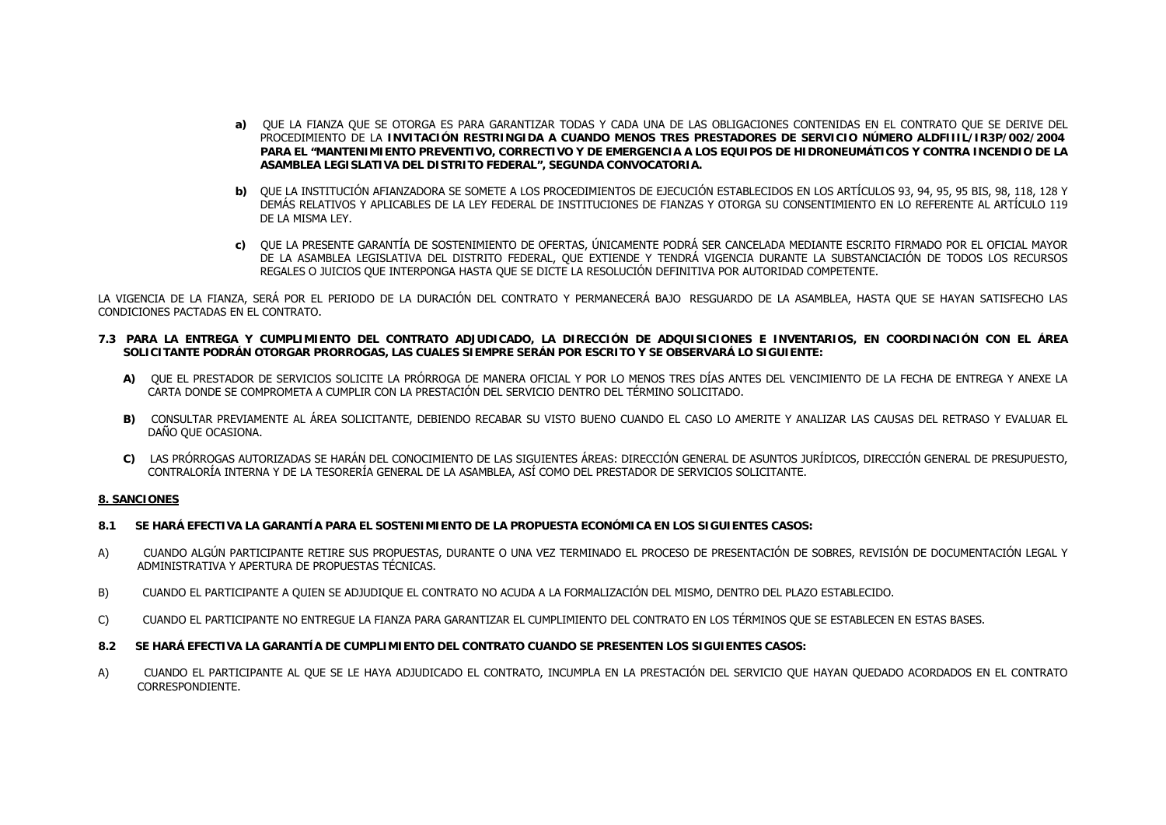- **a)** QUE LA FIANZA QUE SE OTORGA ES PARA GARANTIZAR TODAS Y CADA UNA DE LAS OBLIGACIONES CONTENIDAS EN EL CONTRATO QUE SE DERIVE DEL PROCEDIMIENTO DE LA **INVITACIÓN RESTRINGIDA A CUANDO MENOS TRES PRESTADORES DE SERVICIO NÚMERO ALDFIIIL/IR3P/002/2004 PARA EL "MANTENIMIENTO PREVENTIVO, CORRECTIVO Y DE EMERGENCIA A LOS EQUIPOS DE HIDRONEUMÁTICOS Y CONTRA INCENDIO DE LA ASAMBLEA LEGISLATIVA DEL DISTRITO FEDERAL", SEGUNDA CONVOCATORIA.**
- **b)** QUE LA INSTITUCIÓN AFIANZADORA SE SOMETE A LOS PROCEDIMIENTOS DE EJECUCIÓN ESTABLECIDOS EN LOS ARTÍCULOS 93, 94, 95, 95 BIS, 98, 118, 128 Y DEMÁS RELATIVOS Y APLICABLES DE LA LEY FEDERAL DE INSTITUCIONES DE FIANZAS Y OTORGA SU CONSENTIMIENTO EN LO REFERENTE AL ARTÍCULO 119 DE LA MISMA LEY.
- **c)** QUE LA PRESENTE GARANTÍA DE SOSTENIMIENTO DE OFERTAS, ÚNICAMENTE PODRÁ SER CANCELADA MEDIANTE ESCRITO FIRMADO POR EL OFICIAL MAYOR DE LA ASAMBLEA LEGISLATIVA DEL DISTRITO FEDERAL, QUE EXTIENDE Y TENDRÁ VIGENCIA DURANTE LA SUBSTANCIACIÓN DE TODOS LOS RECURSOS REGALES O JUICIOS QUE INTERPONGA HASTA QUE SE DICTE LA RESOLUCIÓN DEFINITIVA POR AUTORIDAD COMPETENTE.

LA VIGENCIA DE LA FIANZA, SERÁ POR EL PERIODO DE LA DURACIÓN DEL CONTRATO Y PERMANECERÁ BAJO RESGUARDO DE LA ASAMBLEA, HASTA QUE SE HAYAN SATISFECHO LAS CONDICIONES PACTADAS EN EL CONTRATO.

- **7.3 PARA LA ENTREGA Y CUMPLIMIENTO DEL CONTRATO ADJUDICADO, LA DIRECCIÓN DE ADQUISICIONES E INVENTARIOS, EN COORDINACIÓN CON EL ÁREA SOLICITANTE PODRÁN OTORGAR PRORROGAS, LAS CUALES SIEMPRE SERÁN POR ESCRITO Y SE OBSERVARÁ LO SIGUIENTE:**
	- **A)** QUE EL PRESTADOR DE SERVICIOS SOLICITE LA PRÓRROGA DE MANERA OFICIAL Y POR LO MENOS TRES DÍAS ANTES DEL VENCIMIENTO DE LA FECHA DE ENTREGA Y ANEXE LA CARTA DONDE SE COMPROMETA A CUMPLIR CON LA PRESTACIÓN DEL SERVICIO DENTRO DEL TÉRMINO SOLICITADO.
	- **B)** CONSULTAR PREVIAMENTE AL ÁREA SOLICITANTE, DEBIENDO RECABAR SU VISTO BUENO CUANDO EL CASO LO AMERITE Y ANALIZAR LAS CAUSAS DEL RETRASO Y EVALUAR EL DAÑO QUE OCASIONA.
	- **C)** LAS PRÓRROGAS AUTORIZADAS SE HARÁN DEL CONOCIMIENTO DE LAS SIGUIENTES ÁREAS: DIRECCIÓN GENERAL DE ASUNTOS JURÍDICOS, DIRECCIÓN GENERAL DE PRESUPUESTO, CONTRALORÍA INTERNA Y DE LA TESORERÍA GENERAL DE LA ASAMBLEA, ASÍ COMO DEL PRESTADOR DE SERVICIOS SOLICITANTE.

#### **8. SANCIONES**

- **8.1 SE HARÁ EFECTIVA LA GARANTÍA PARA EL SOSTENIMIENTO DE LA PROPUESTA ECONÓMICA EN LOS SIGUIENTES CASOS:**
- A) CUANDO ALGÚN PARTICIPANTE RETIRE SUS PROPUESTAS, DURANTE O UNA VEZ TERMINADO EL PROCESO DE PRESENTACIÓN DE SOBRES, REVISIÓN DE DOCUMENTACIÓN LEGAL Y ADMINISTRATIVA Y APERTURA DE PROPUESTAS TÉCNICAS.
- B) CUANDO EL PARTICIPANTE A QUIEN SE ADJUDIQUE EL CONTRATO NO ACUDA A LA FORMALIZACIÓN DEL MISMO, DENTRO DEL PLAZO ESTABLECIDO.
- C) CUANDO EL PARTICIPANTE NO ENTREGUE LA FIANZA PARA GARANTIZAR EL CUMPLIMIENTO DEL CONTRATO EN LOS TÉRMINOS QUE SE ESTABLECEN EN ESTAS BASES.
- **8.2 SE HARÁ EFECTIVA LA GARANTÍA DE CUMPLIMIENTO DEL CONTRATO CUANDO SE PRESENTEN LOS SIGUIENTES CASOS:**
- A) CUANDO EL PARTICIPANTE AL QUE SE LE HAYA ADJUDICADO EL CONTRATO, INCUMPLA EN LA PRESTACIÓN DEL SERVICIO QUE HAYAN QUEDADO ACORDADOS EN EL CONTRATO CORRESPONDIENTE.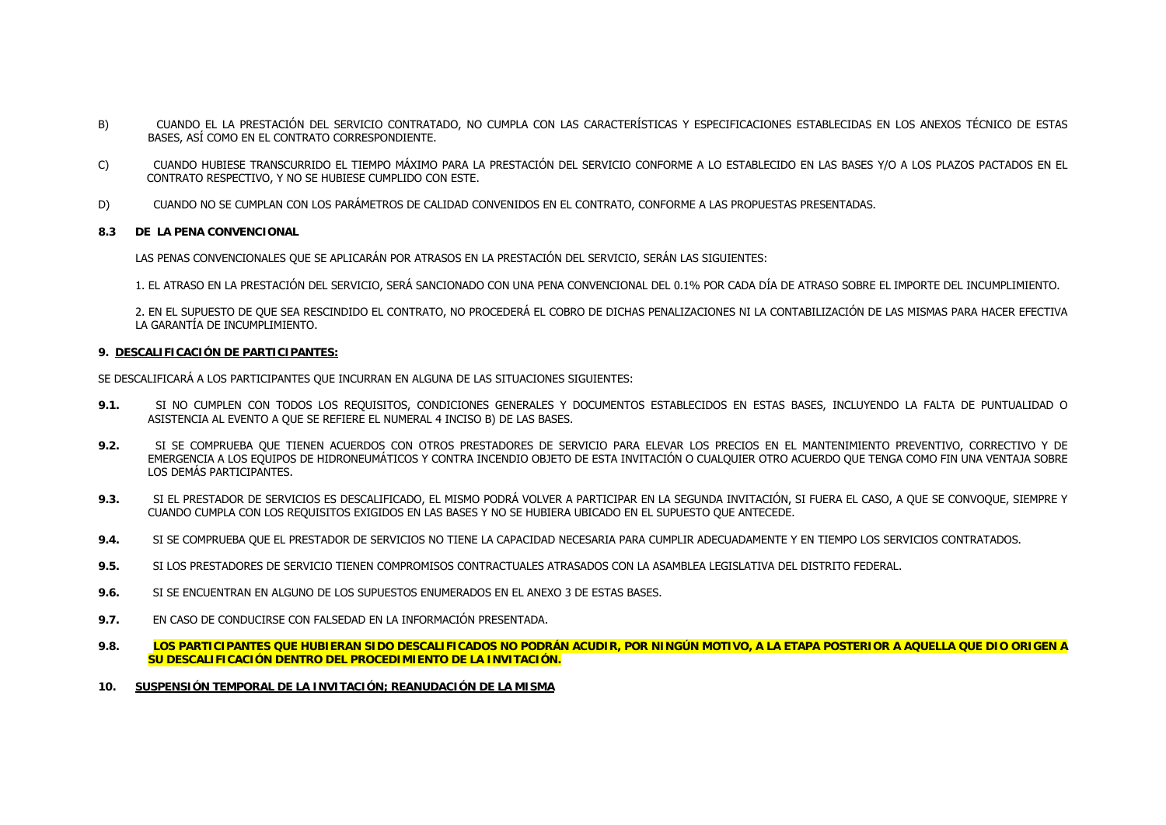- B) CUANDO EL LA PRESTACIÓN DEL SERVICIO CONTRATADO, NO CUMPLA CON LAS CARACTERÍSTICAS Y ESPECIFICACIONES ESTABLECIDAS EN LOS ANEXOS TÉCNICO DE ESTAS BASES, ASÍ COMO EN EL CONTRATO CORRESPONDIENTE.
- C) CUANDO HUBIESE TRANSCURRIDO EL TIEMPO MÁXIMO PARA LA PRESTACIÓN DEL SERVICIO CONFORME A LO ESTABLECIDO EN LAS BASES Y/O A LOS PLAZOS PACTADOS EN EL CONTRATO RESPECTIVO, Y NO SE HUBIESE CUMPLIDO CON ESTE.
- D) CUANDO NO SE CUMPLAN CON LOS PARÁMETROS DE CALIDAD CONVENIDOS EN EL CONTRATO, CONFORME A LAS PROPUESTAS PRESENTADAS.

### **8.3 DE LA PENA CONVENCIONAL**

LAS PENAS CONVENCIONALES QUE SE APLICARÁN POR ATRASOS EN LA PRESTACIÓN DEL SERVICIO, SERÁN LAS SIGUIENTES:

1. EL ATRASO EN LA PRESTACIÓN DEL SERVICIO, SERÁ SANCIONADO CON UNA PENA CONVENCIONAL DEL 0.1% POR CADA DÍA DE ATRASO SOBRE EL IMPORTE DEL INCUMPLIMIENTO.

2. EN EL SUPUESTO DE QUE SEA RESCINDIDO EL CONTRATO, NO PROCEDERÁ EL COBRO DE DICHAS PENALIZACIONES NI LA CONTABILIZACIÓN DE LAS MISMAS PARA HACER EFECTIVA LA GARANTÍA DE INCUMPLIMIENTO.

#### **9. DESCALIFICACIÓN DE PARTICIPANTES:**

SE DESCALIFICARÁ A LOS PARTICIPANTES QUE INCURRAN EN ALGUNA DE LAS SITUACIONES SIGUIENTES:

- **9.1.** SI NO CUMPLEN CON TODOS LOS REQUISITOS, CONDICIONES GENERALES Y DOCUMENTOS ESTABLECIDOS EN ESTAS BASES, INCLUYENDO LA FALTA DE PUNTUALIDAD O ASISTENCIA AL EVENTO A QUE SE REFIERE EL NUMERAL 4 INCISO B) DE LAS BASES.
- **9.2.** SI SE COMPRUEBA QUE TIENEN ACUERDOS CON OTROS PRESTADORES DE SERVICIO PARA ELEVAR LOS PRECIOS EN EL MANTENIMIENTO PREVENTIVO, CORRECTIVO Y DE EMERGENCIA A LOS EQUIPOS DE HIDRONEUMÁTICOS Y CONTRA INCENDIO OBJETO DE ESTA INVITACIÓN O CUALQUIER OTRO ACUERDO QUE TENGA COMO FIN UNA VENTAJA SOBRE LOS DEMÁS PARTICIPANTES.
- **9.3.** SI EL PRESTADOR DE SERVICIOS ES DESCALIFICADO, EL MISMO PODRÁ VOLVER A PARTICIPAR EN LA SEGUNDA INVITACIÓN, SI FUERA EL CASO, A QUE SE CONVOQUE, SIEMPRE Y CUANDO CUMPLA CON LOS REQUISITOS EXIGIDOS EN LAS BASES Y NO SE HUBIERA UBICADO EN EL SUPUESTO QUE ANTECEDE.
- **9.4.**SI SE COMPRUEBA QUE EL PRESTADOR DE SERVICIOS NO TIENE LA CAPACIDAD NECESARIA PARA CUMPLIR ADECUADAMENTE Y EN TIEMPO LOS SERVICIOS CONTRATADOS.
- **9.5.**SI LOS PRESTADORES DE SERVICIO TIENEN COMPROMISOS CONTRACTUALES ATRASADOS CON LA ASAMBLEA LEGISLATIVA DEL DISTRITO FEDERAL.
- **9.6.**SI SE ENCUENTRAN EN ALGUNO DE LOS SUPUESTOS ENUMERADOS EN EL ANEXO 3 DE ESTAS BASES.
- **9.7.**EN CASO DE CONDUCIRSE CON FALSEDAD EN LA INFORMACIÓN PRESENTADA.
- **9.8. LOS PARTICIPANTES QUE HUBIERAN SIDO DESCALIFICADOS NO PODRÁN ACUDIR, POR NINGÚN MOTIVO, A LA ETAPA POSTERIOR A AQUELLA QUE DIO ORIGEN A SU DESCALIFICACIÓN DENTRO DEL PROCEDIMIENTO DE LA INVITACIÓN.**
- **10.SUSPENSIÓN TEMPORAL DE LA INVITACIÓN; REANUDACIÓN DE LA MISMA**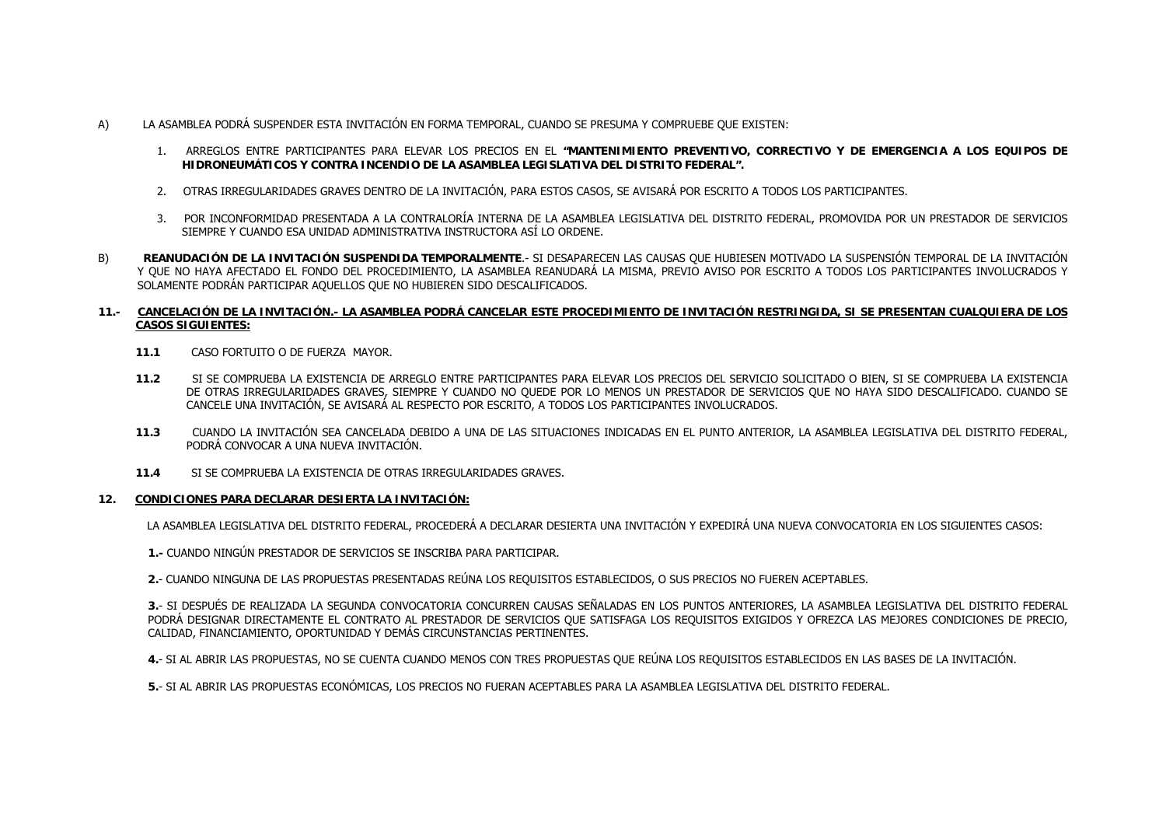- A) LA ASAMBLEA PODRÁ SUSPENDER ESTA INVITACIÓN EN FORMA TEMPORAL, CUANDO SE PRESUMA Y COMPRUEBE QUE EXISTEN:
	- 1. ARREGLOS ENTRE PARTICIPANTES PARA ELEVAR LOS PRECIOS EN EL **"MANTENIMIENTO PREVENTIVO, CORRECTIVO Y DE EMERGENCIA A LOS EQUIPOS DE HIDRONEUMÁTICOS Y CONTRA INCENDIO DE LA ASAMBLEA LEGISLATIVA DEL DISTRITO FEDERAL".**
	- 2. OTRAS IRREGULARIDADES GRAVES DENTRO DE LA INVITACIÓN, PARA ESTOS CASOS, SE AVISARÁ POR ESCRITO A TODOS LOS PARTICIPANTES.
	- 3. POR INCONFORMIDAD PRESENTADA A LA CONTRALORÍA INTERNA DE LA ASAMBLEA LEGISLATIVA DEL DISTRITO FEDERAL, PROMOVIDA POR UN PRESTADOR DE SERVICIOS SIEMPRE Y CUANDO ESA UNIDAD ADMINISTRATIVA INSTRUCTORA ASÍ LO ORDENE.
- B) **REANUDACIÓN DE LA INVITACIÓN SUSPENDIDA TEMPORALMENTE**.- SI DESAPARECEN LAS CAUSAS QUE HUBIESEN MOTIVADO LA SUSPENSIÓN TEMPORAL DE LA INVITACIÓN Y QUE NO HAYA AFECTADO EL FONDO DEL PROCEDIMIENTO, LA ASAMBLEA REANUDARÁ LA MISMA, PREVIO AVISO POR ESCRITO A TODOS LOS PARTICIPANTES INVOLUCRADOS Y SOLAMENTE PODRÁN PARTICIPAR AQUELLOS QUE NO HUBIEREN SIDO DESCALIFICADOS.

#### **11.- CANCELACIÓN DE LA INVITACIÓN.- LA ASAMBLEA PODRÁ CANCELAR ESTE PROCEDIMIENTO DE INVITACIÓN RESTRINGIDA, SI SE PRESENTAN CUALQUIERA DE LOS CASOS SIGUIENTES:**

- **11.1**CASO FORTUITO O DE FUERZA MAYOR.
- **11.2** SI SE COMPRUEBA LA EXISTENCIA DE ARREGLO ENTRE PARTICIPANTES PARA ELEVAR LOS PRECIOS DEL SERVICIO SOLICITADO O BIEN, SI SE COMPRUEBA LA EXISTENCIA DE OTRAS IRREGULARIDADES GRAVES, SIEMPRE Y CUANDO NO QUEDE POR LO MENOS UN PRESTADOR DE SERVICIOS QUE NO HAYA SIDO DESCALIFICADO. CUANDO SE CANCELE UNA INVITACIÓN, SE AVISARÁ AL RESPECTO POR ESCRITO, A TODOS LOS PARTICIPANTES INVOLUCRADOS.
- **11.3** CUANDO LA INVITACIÓN SEA CANCELADA DEBIDO A UNA DE LAS SITUACIONES INDICADAS EN EL PUNTO ANTERIOR, LA ASAMBLEA LEGISLATIVA DEL DISTRITO FEDERAL, PODRÁ CONVOCAR A UNA NUEVA INVITACIÓN.
- **11.4**SI SE COMPRUEBA LA EXISTENCIA DE OTRAS IRREGULARIDADES GRAVES.

#### **12.CONDICIONES PARA DECLARAR DESIERTA LA INVITACIÓN:**

LA ASAMBLEA LEGISLATIVA DEL DISTRITO FEDERAL, PROCEDERÁ A DECLARAR DESIERTA UNA INVITACIÓN Y EXPEDIRÁ UNA NUEVA CONVOCATORIA EN LOS SIGUIENTES CASOS:

**1.-** CUANDO NINGÚN PRESTADOR DE SERVICIOS SE INSCRIBA PARA PARTICIPAR.

**2.**- CUANDO NINGUNA DE LAS PROPUESTAS PRESENTADAS REÚNA LOS REQUISITOS ESTABLECIDOS, O SUS PRECIOS NO FUEREN ACEPTABLES.

**3.**- SI DESPUÉS DE REALIZADA LA SEGUNDA CONVOCATORIA CONCURREN CAUSAS SEÑALADAS EN LOS PUNTOS ANTERIORES, LA ASAMBLEA LEGISLATIVA DEL DISTRITO FEDERAL PODRÁ DESIGNAR DIRECTAMENTE EL CONTRATO AL PRESTADOR DE SERVICIOS QUE SATISFAGA LOS REQUISITOS EXIGIDOS Y OFREZCA LAS MEJORES CONDICIONES DE PRECIO, CALIDAD, FINANCIAMIENTO, OPORTUNIDAD Y DEMÁS CIRCUNSTANCIAS PERTINENTES.

**4.**- SI AL ABRIR LAS PROPUESTAS, NO SE CUENTA CUANDO MENOS CON TRES PROPUESTAS QUE REÚNA LOS REQUISITOS ESTABLECIDOS EN LAS BASES DE LA INVITACIÓN.

**5.**- SI AL ABRIR LAS PROPUESTAS ECONÓMICAS, LOS PRECIOS NO FUERAN ACEPTABLES PARA LA ASAMBLEA LEGISLATIVA DEL DISTRITO FEDERAL.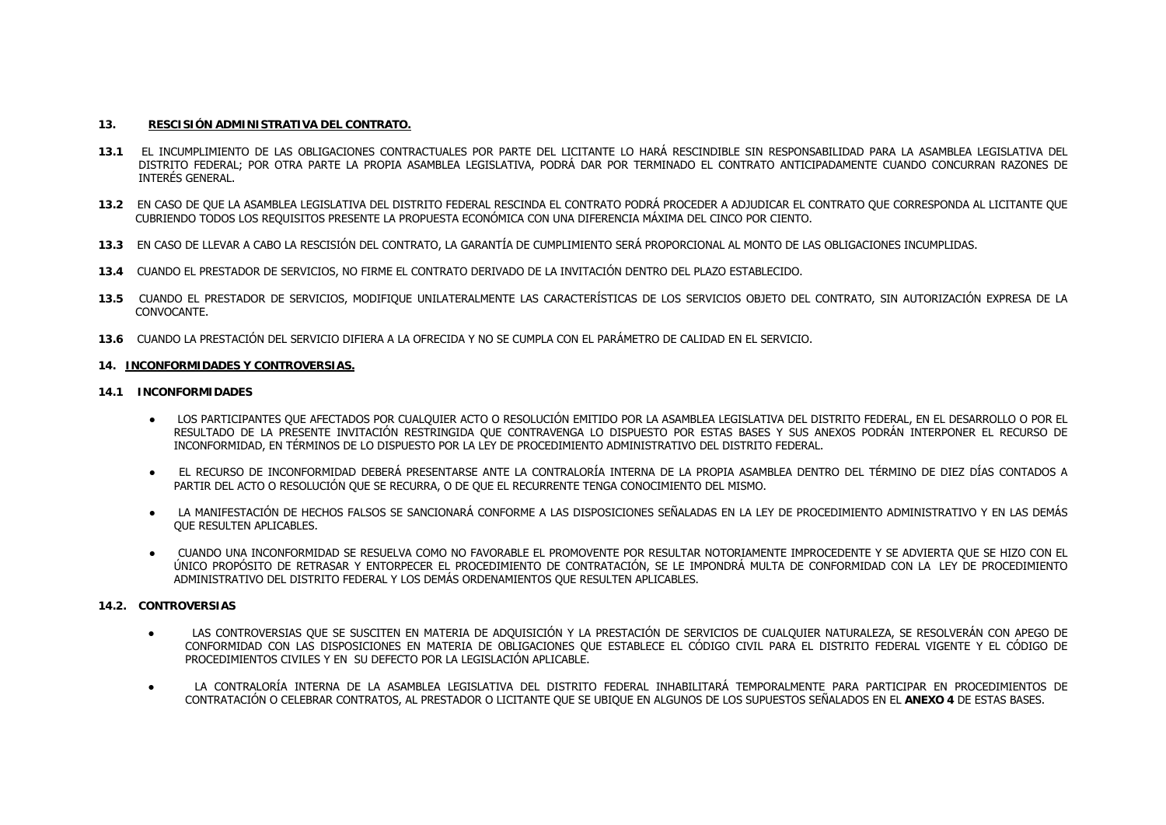### **13. RESCISIÓN ADMINISTRATIVA DEL CONTRATO.**

- **13.1** EL INCUMPLIMIENTO DE LAS OBLIGACIONES CONTRACTUALES POR PARTE DEL LICITANTE LO HARÁ RESCINDIBLE SIN RESPONSABILIDAD PARA LA ASAMBLEA LEGISLATIVA DEL DISTRITO FEDERAL; POR OTRA PARTE LA PROPIA ASAMBLEA LEGISLATIVA, PODRÁ DAR POR TERMINADO EL CONTRATO ANTICIPADAMENTE CUANDO CONCURRAN RAZONES DE INTERÉS GENERAL.
- **13.2** EN CASO DE QUE LA ASAMBLEA LEGISLATIVA DEL DISTRITO FEDERAL RESCINDA EL CONTRATO PODRÁ PROCEDER A ADJUDICAR EL CONTRATO QUE CORRESPONDA AL LICITANTE QUE CUBRIENDO TODOS LOS REQUISITOS PRESENTE LA PROPUESTA ECONÓMICA CON UNA DIFERENCIA MÁXIMA DEL CINCO POR CIENTO.
- **13.3** EN CASO DE LLEVAR A CABO LA RESCISIÓN DEL CONTRATO, LA GARANTÍA DE CUMPLIMIENTO SERÁ PROPORCIONAL AL MONTO DE LAS OBLIGACIONES INCUMPLIDAS.
- **13.4** CUANDO EL PRESTADOR DE SERVICIOS, NO FIRME EL CONTRATO DERIVADO DE LA INVITACIÓN DENTRO DEL PLAZO ESTABLECIDO.
- **13.5** CUANDO EL PRESTADOR DE SERVICIOS, MODIFIQUE UNILATERALMENTE LAS CARACTERÍSTICAS DE LOS SERVICIOS OBJETO DEL CONTRATO, SIN AUTORIZACIÓN EXPRESA DE LA CONVOCANTE.
- **13.6** CUANDO LA PRESTACIÓN DEL SERVICIO DIFIERA A LA OFRECIDA Y NO SE CUMPLA CON EL PARÁMETRO DE CALIDAD EN EL SERVICIO.

#### **14. INCONFORMIDADES Y CONTROVERSIAS.**

#### **14.1 INCONFORMIDADES**

- $\bullet$  LOS PARTICIPANTES QUE AFECTADOS POR CUALQUIER ACTO O RESOLUCIÓN EMITIDO POR LA ASAMBLEA LEGISLATIVA DEL DISTRITO FEDERAL, EN EL DESARROLLO O POR EL RESULTADO DE LA PRESENTE INVITACIÓN RESTRINGIDA QUE CONTRAVENGA LO DISPUESTO POR ESTAS BASES Y SUS ANEXOS PODRÁN INTERPONER EL RECURSO DE INCONFORMIDAD, EN TÉRMINOS DE LO DISPUESTO POR LA LEY DE PROCEDIMIENTO ADMINISTRATIVO DEL DISTRITO FEDERAL.
- $\bullet$  EL RECURSO DE INCONFORMIDAD DEBERÁ PRESENTARSE ANTE LA CONTRALORÍA INTERNA DE LA PROPIA ASAMBLEA DENTRO DEL TÉRMINO DE DIEZ DÍAS CONTADOS A PARTIR DEL ACTO O RESOLUCIÓN QUE SE RECURRA, O DE QUE EL RECURRENTE TENGA CONOCIMIENTO DEL MISMO.
- $\bullet$  LA MANIFESTACIÓN DE HECHOS FALSOS SE SANCIONARÁ CONFORME A LAS DISPOSICIONES SEÑALADAS EN LA LEY DE PROCEDIMIENTO ADMINISTRATIVO Y EN LAS DEMÁS QUE RESULTEN APLICABLES.
- ● CUANDO UNA INCONFORMIDAD SE RESUELVA COMO NO FAVORABLE EL PROMOVENTE POR RESULTAR NOTORIAMENTE IMPROCEDENTE Y SE ADVIERTA QUE SE HIZO CON EL ÚNICO PROPÓSITO DE RETRASAR Y ENTORPECER EL PROCEDIMIENTO DE CONTRATACIÓN, SE LE IMPONDRÁ MULTA DE CONFORMIDAD CON LA LEY DE PROCEDIMIENTO ADMINISTRATIVO DEL DISTRITO FEDERAL Y LOS DEMÁS ORDENAMIENTOS QUE RESULTEN APLICABLES.

#### **14.2. CONTROVERSIAS**

- $\bullet$  LAS CONTROVERSIAS QUE SE SUSCITEN EN MATERIA DE ADQUISICIÓN Y LA PRESTACIÓN DE SERVICIOS DE CUALQUIER NATURALEZA, SE RESOLVERÁN CON APEGO DE CONFORMIDAD CON LAS DISPOSICIONES EN MATERIA DE OBLIGACIONES QUE ESTABLECE EL CÓDIGO CIVIL PARA EL DISTRITO FEDERAL VIGENTE Y EL CÓDIGO DE PROCEDIMIENTOS CIVILES Y EN SU DEFECTO POR LA LEGISLACIÓN APLICABLE.
- $\bullet$  LA CONTRALORÍA INTERNA DE LA ASAMBLEA LEGISLATIVA DEL DISTRITO FEDERAL INHABILITARÁ TEMPORALMENTE PARA PARTICIPAR EN PROCEDIMIENTOS DE CONTRATACIÓN O CELEBRAR CONTRATOS, AL PRESTADOR O LICITANTE QUE SE UBIQUE EN ALGUNOS DE LOS SUPUESTOS SEÑALADOS EN EL **ANEXO 4** DE ESTAS BASES.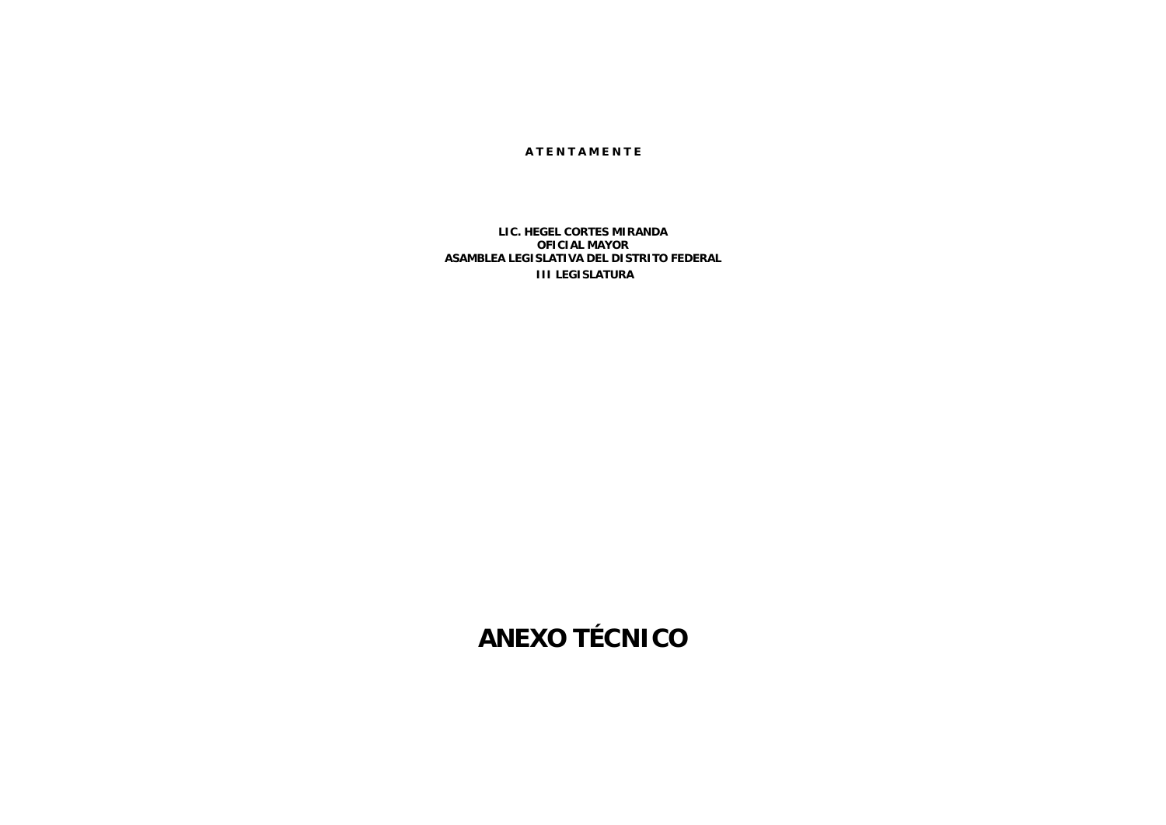#### **A T E N T A M E N T E**

### **LIC. HEGEL CORTES MIRANDA OFICIAL MAYOR ASAMBLEA LEGISLATIVA DEL DISTRITO FEDERAL III LEGISLATURA**

**ANEXO TÉCNICO**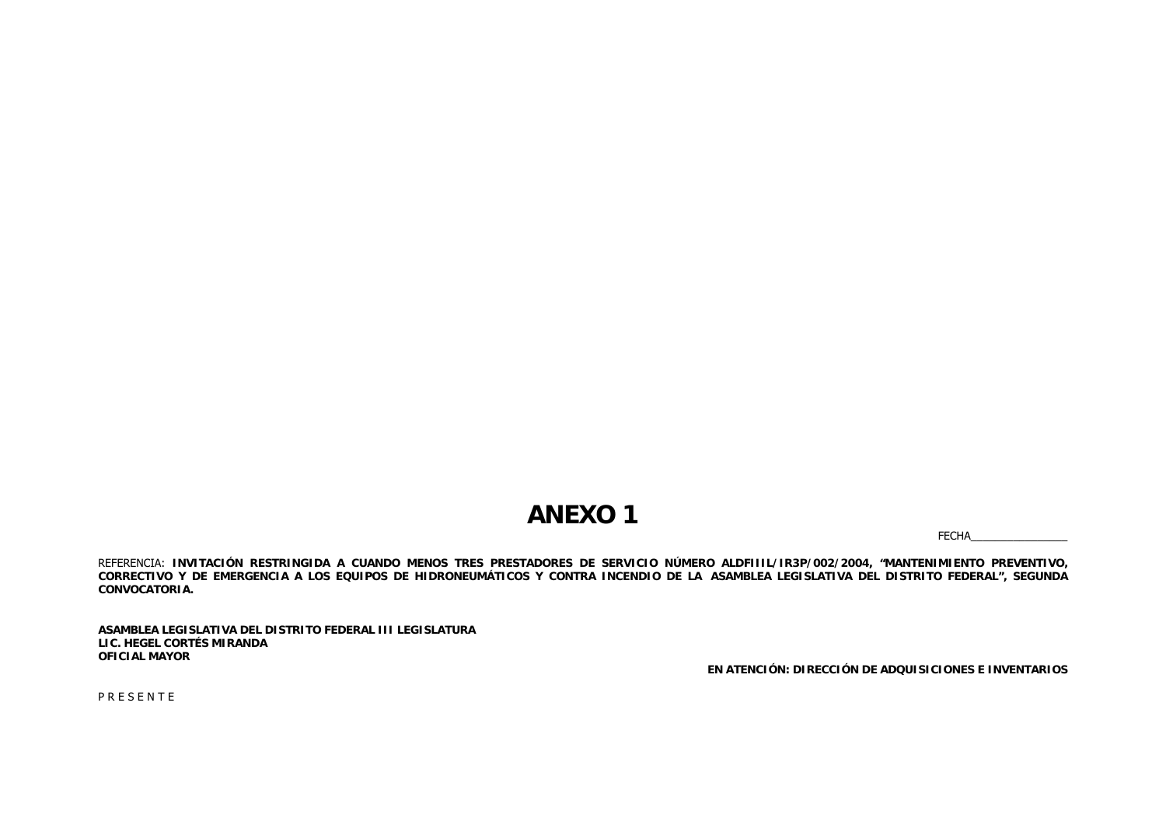## **ANEXO 1**

FECHA\_\_\_\_\_\_\_\_\_\_\_\_\_\_\_\_

REFERENCIA: **INVITACIÓN RESTRINGIDA A CUANDO MENOS TRES PRESTADORES DE SERVICIO NÚMERO ALDFIIIL/IR3P/002/2004, "MANTENIMIENTO PREVENTIVO, CORRECTIVO Y DE EMERGENCIA A LOS EQUIPOS DE HIDRONEUMÁTICOS Y CONTRA INCENDIO DE LA ASAMBLEA LEGISLATIVA DEL DISTRITO FEDERAL", SEGUNDA CONVOCATORIA.**

**ASAMBLEA LEGISLATIVA DEL DISTRITO FEDERAL III LEGISLATURA LIC. HEGEL CORTÉS MIRANDAOFICIAL MAYOR**

**EN ATENCIÓN: DIRECCIÓN DE ADQUISICIONES E INVENTARIOS**

P R E S E N T E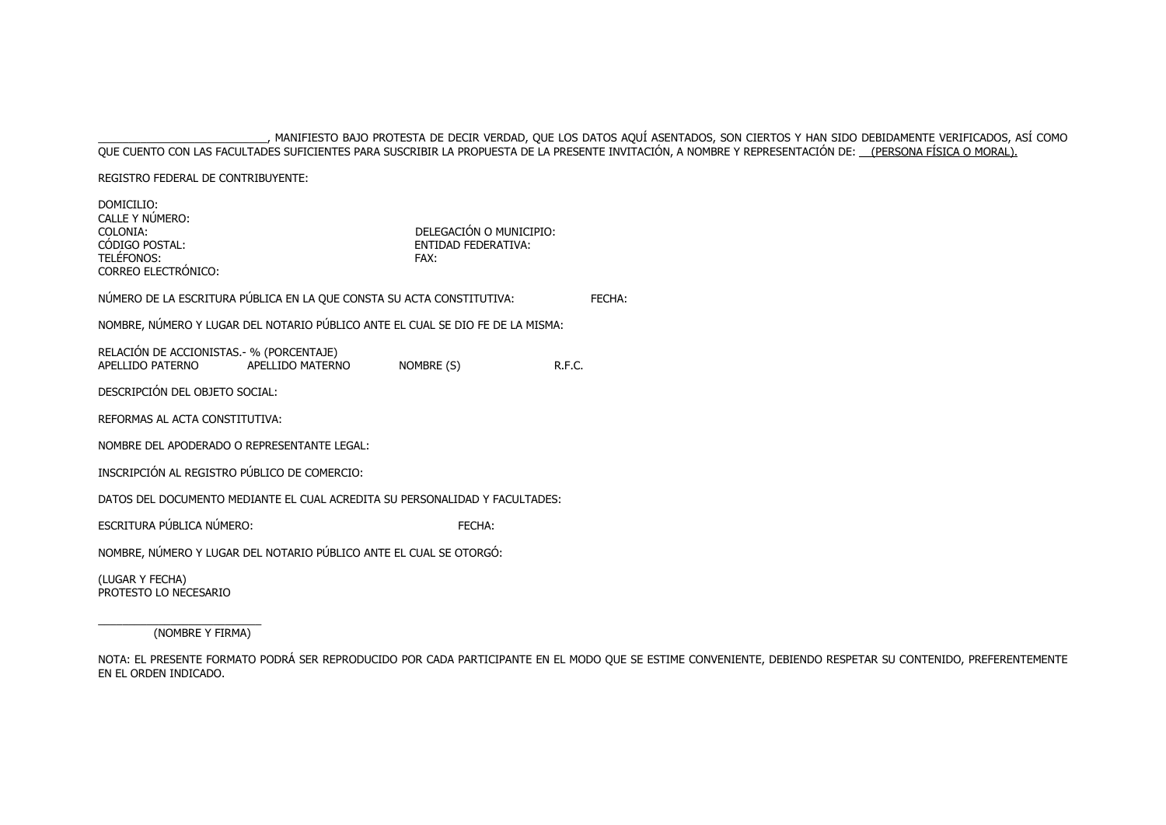#### \_\_\_\_\_\_\_\_\_\_\_\_\_\_\_\_\_\_\_\_\_\_\_\_\_\_\_\_, MANIFIESTO BAJO PROTESTA DE DECIR VERDAD, QUE LOS DATOS AQUÍ ASENTADOS, SON CIERTOS Y HAN SIDO DEBIDAMENTE VERIFICADOS, ASÍ COMO QUE CUENTO CON LAS FACULTADES SUFICIENTES PARA SUSCRIBIR LA PROPUESTA DE LA PRESENTE INVITACIÓN, A NOMBRE Y REPRESENTACIÓN DE: <u>\_\_(PERSONA FÍSICA O MORAL).</u>

REGISTRO FEDERAL DE CONTRIBUYENTE:

| DOMICILIO:<br>CALLE Y NÚMERO:<br>COLONIA:<br>CÓDIGO POSTAL:<br><b>TELÉFONOS:</b><br>CORREO ELECTRÓNICO: |                  | DELEGACIÓN O MUNICIPIO:<br><b>FNTIDAD FFDFRATIVA:</b><br>FAX: |               |
|---------------------------------------------------------------------------------------------------------|------------------|---------------------------------------------------------------|---------------|
| NÚMERO DE LA ESCRITURA PÚBLICA EN LA QUE CONSTA SU ACTA CONSTITUTIVA:                                   |                  |                                                               | <b>FFCHA:</b> |
| NOMBRE, NÚMERO Y LUGAR DEL NOTARIO PÚBLICO ANTE EL CUAL SE DIO FE DE LA MISMA:                          |                  |                                                               |               |
| RELACIÓN DE ACCIONISTAS. - % (PORCENTAJE)<br>APFI I IDO PATFRNO                                         | APELLIDO MATERNO | NOMBRE (S)                                                    | R.F.C.        |
| DESCRIPCIÓN DEL OBJETO SOCIAL:                                                                          |                  |                                                               |               |
| REFORMAS AL ACTA CONSTITUTIVA:                                                                          |                  |                                                               |               |
| NOMBRE DEL APODERADO O REPRESENTANTE LEGAL:                                                             |                  |                                                               |               |
| INSCRIPCIÓN AL REGISTRO PÚBLICO DE COMERCIO:                                                            |                  |                                                               |               |
| DATOS DEL DOCUMENTO MEDIANTE EL CUAL ACREDITA SU PERSONALIDAD Y FACULTADES:                             |                  |                                                               |               |
| ESCRITURA PÚBLICA NÚMERO:                                                                               |                  | FECHA:                                                        |               |
| NOMBRE, NÚMERO Y LUGAR DEL NOTARIO PÚBLICO ANTE EL CUAL SE OTORGÓ:                                      |                  |                                                               |               |
| (LUGAR Y FECHA)<br>PROTESTO LO NECESARIO                                                                |                  |                                                               |               |

\_\_\_\_\_\_\_\_\_\_\_\_\_\_\_\_\_\_\_\_\_\_\_\_\_\_\_ (NOMBRE Y FIRMA)

NOTA: EL PRESENTE FORMATO PODRÁ SER REPRODUCIDO POR CADA PARTICIPANTE EN EL MODO QUE SE ESTIME CONVENIENTE, DEBIENDO RESPETAR SU CONTENIDO, PREFERENTEMENTE EN EL ORDEN INDICADO.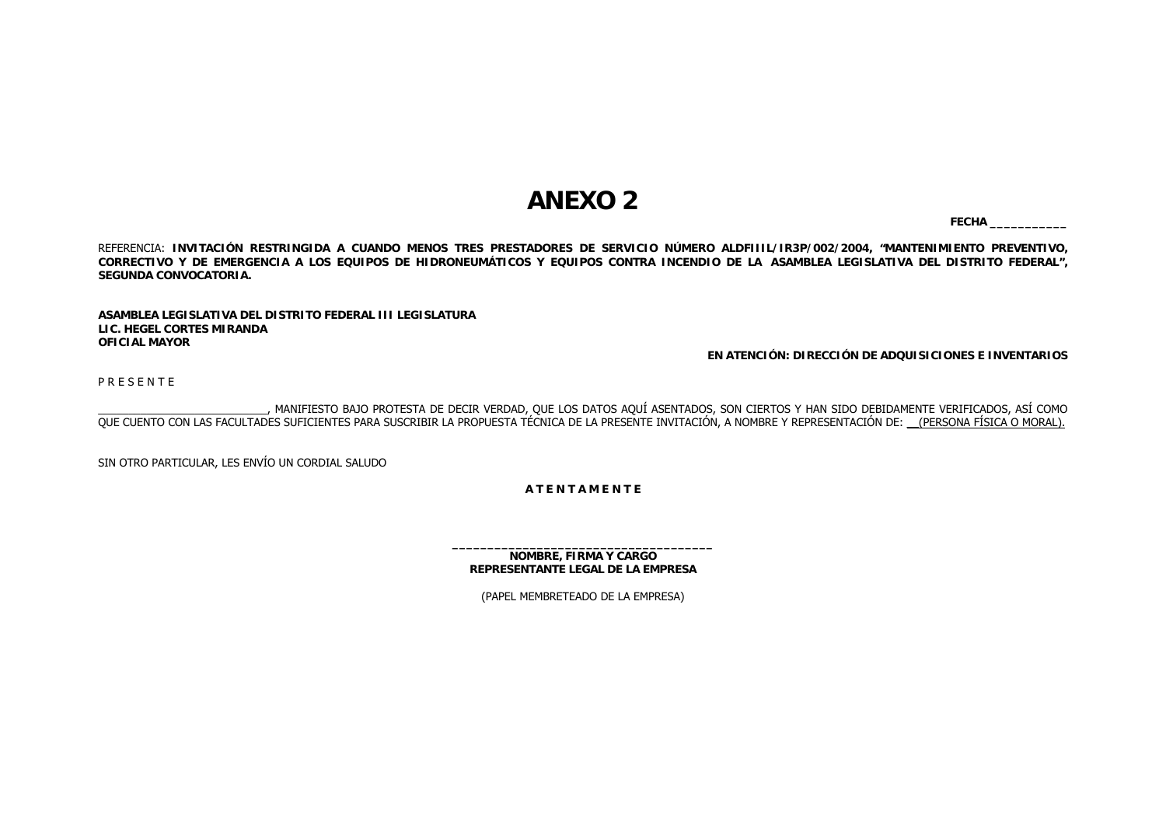# **ANEXO 2**

**FECHA \_\_\_\_\_\_\_\_\_\_\_**

REFERENCIA: **INVITACIÓN RESTRINGIDA A CUANDO MENOS TRES PRESTADORES DE SERVICIO NÚMERO ALDFIIIL/IR3P/002/2004, "MANTENIMIENTO PREVENTIVO, CORRECTIVO Y DE EMERGENCIA A LOS EQUIPOS DE HIDRONEUMÁTICOS Y EQUIPOS CONTRA INCENDIO DE LA ASAMBLEA LEGISLATIVA DEL DISTRITO FEDERAL", SEGUNDA CONVOCATORIA.**

**ASAMBLEA LEGISLATIVA DEL DISTRITO FEDERAL III LEGISLATURALIC. HEGEL CORTES MIRANDAOFICIAL MAYOR**

**EN ATENCIÓN: DIRECCIÓN DE ADQUISICIONES E INVENTARIOS**

P R E S E N T E

\_\_\_\_\_\_\_\_\_\_\_\_\_\_\_\_\_\_\_\_\_\_\_\_\_\_\_\_, MANIFIESTO BAJO PROTESTA DE DECIR VERDAD, QUE LOS DATOS AQUÍ ASENTADOS, SON CIERTOS Y HAN SIDO DEBIDAMENTE VERIFICADOS, ASÍ COMO QUE CUENTO CON LAS FACULTADES SUFICIENTES PARA SUSCRIBIR LA PROPUESTA TÉCNICA DE LA PRESENTE INVITACIÓN, A NOMBRE Y REPRESENTACIÓN DE: \_\_(PERSONA FÍSICA O MORAL).

SIN OTRO PARTICULAR, LES ENVÍO UN CORDIAL SALUDO

**A T E N T A M E N T E**

**NOMBRE, FIRMA Y CARGO REPRESENTANTE LEGAL DE LA EMPRESA**

(PAPEL MEMBRETEADO DE LA EMPRESA)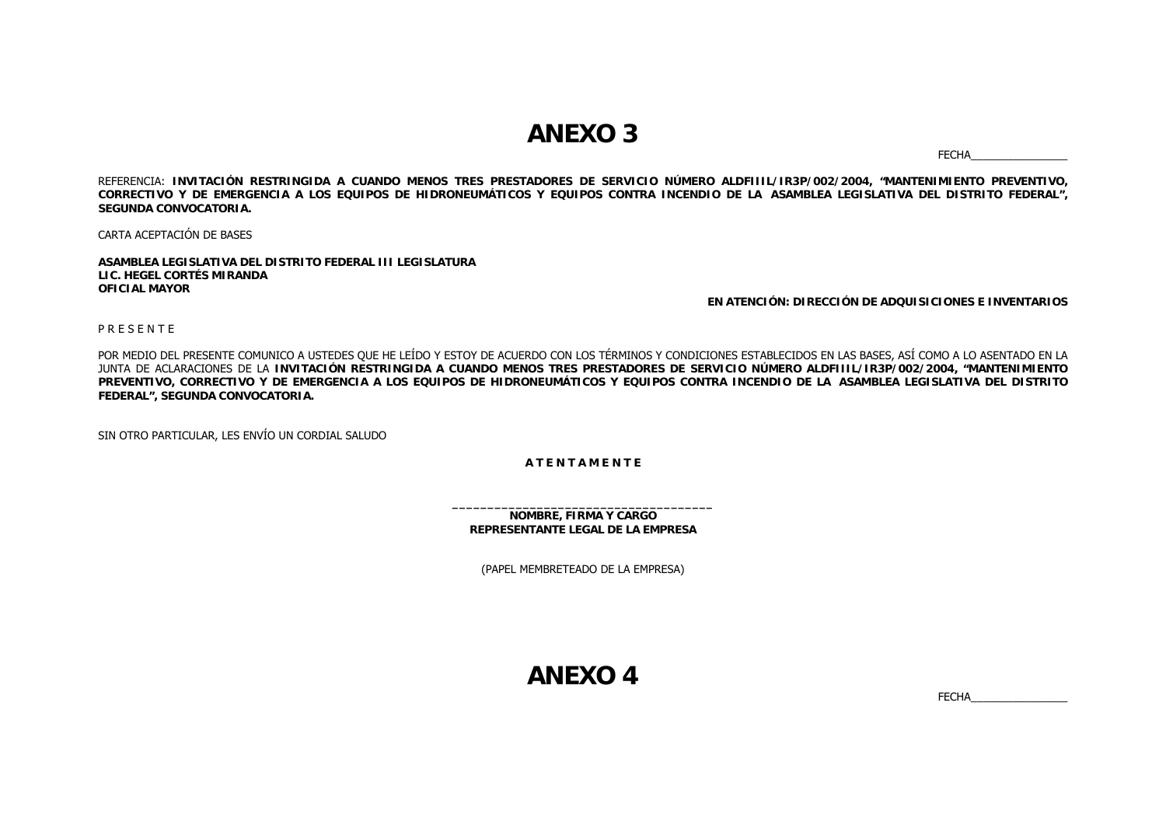## **ANEXO 3**

FECHA\_\_\_\_\_\_\_\_\_\_\_\_\_\_\_\_

REFERENCIA: **INVITACIÓN RESTRINGIDA A CUANDO MENOS TRES PRESTADORES DE SERVICIO NÚMERO ALDFIIIL/IR3P/002/2004, "MANTENIMIENTO PREVENTIVO, CORRECTIVO Y DE EMERGENCIA A LOS EQUIPOS DE HIDRONEUMÁTICOS Y EQUIPOS CONTRA INCENDIO DE LA ASAMBLEA LEGISLATIVA DEL DISTRITO FEDERAL", SEGUNDA CONVOCATORIA.**

CARTA ACEPTACIÓN DE BASES

**ASAMBLEA LEGISLATIVA DEL DISTRITO FEDERAL III LEGISLATURALIC. HEGEL CORTÉS MIRANDAOFICIAL MAYOR**

**EN ATENCIÓN: DIRECCIÓN DE ADQUISICIONES E INVENTARIOS**

P R E S E N T E

POR MEDIO DEL PRESENTE COMUNICO A USTEDES QUE HE LEÍDO Y ESTOY DE ACUERDO CON LOS TÉRMINOS Y CONDICIONES ESTABLECIDOS EN LAS BASES, ASÍ COMO A LO ASENTADO EN LA JUNTA DE ACLARACIONES DE LA **INVITACIÓN RESTRINGIDA A CUANDO MENOS TRES PRESTADORES DE SERVICIO NÚMERO ALDFIIIL/IR3P/002/2004, "MANTENIMIENTO PREVENTIVO, CORRECTIVO Y DE EMERGENCIA A LOS EQUIPOS DE HIDRONEUMÁTICOS Y EQUIPOS CONTRA INCENDIO DE LA ASAMBLEA LEGISLATIVA DEL DISTRITO FEDERAL", SEGUNDA CONVOCATORIA.**

SIN OTRO PARTICULAR, LES ENVÍO UN CORDIAL SALUDO

#### **A T E N T A M E N T E**

**NOMBRE, FIRMA Y CARGO REPRESENTANTE LEGAL DE LA EMPRESA**

(PAPEL MEMBRETEADO DE LA EMPRESA)

**ANEXO 4**

FECHA\_\_\_\_\_\_\_\_\_\_\_\_\_\_\_\_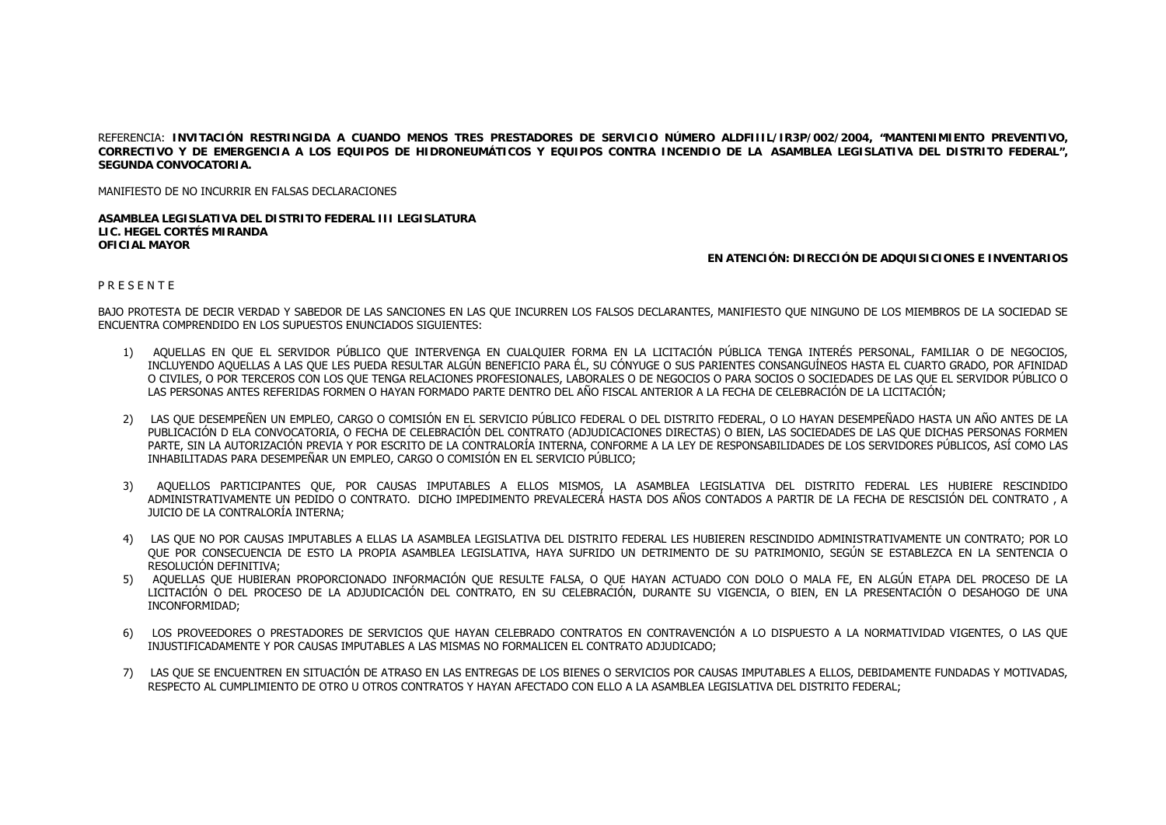REFERENCIA: **INVITACIÓN RESTRINGIDA A CUANDO MENOS TRES PRESTADORES DE SERVICIO NÚMERO ALDFIIIL/IR3P/002/2004, "MANTENIMIENTO PREVENTIVO, CORRECTIVO Y DE EMERGENCIA A LOS EQUIPOS DE HIDRONEUMÁTICOS Y EQUIPOS CONTRA INCENDIO DE LA ASAMBLEA LEGISLATIVA DEL DISTRITO FEDERAL", SEGUNDA CONVOCATORIA.**

MANIFIESTO DE NO INCURRIR EN FALSAS DECLARACIONES

**ASAMBLEA LEGISLATIVA DEL DISTRITO FEDERAL III LEGISLATURALIC. HEGEL CORTÉS MIRANDAOFICIAL MAYOR**

#### **EN ATENCIÓN: DIRECCIÓN DE ADQUISICIONES E INVENTARIOS**

P R E S E N T E

BAJO PROTESTA DE DECIR VERDAD Y SABEDOR DE LAS SANCIONES EN LAS QUE INCURREN LOS FALSOS DECLARANTES, MANIFIESTO QUE NINGUNO DE LOS MIEMBROS DE LA SOCIEDAD SE ENCUENTRA COMPRENDIDO EN LOS SUPUESTOS ENUNCIADOS SIGUIENTES:

- 1) AQUELLAS EN QUE EL SERVIDOR PÚBLICO QUE INTERVENGA EN CUALQUIER FORMA EN LA LICITACIÓN PÚBLICA TENGA INTERÉS PERSONAL, FAMILIAR O DE NEGOCIOS, INCLUYENDO AQUELLAS A LAS QUE LES PUEDA RESULTAR ALGÚN BENEFICIO PARA ÉL, SU CÓNYUGE O SUS PARIENTES CONSANGUÍNEOS HASTA EL CUARTO GRADO, POR AFINIDAD O CIVILES, O POR TERCEROS CON LOS QUE TENGA RELACIONES PROFESIONALES, LABORALES O DE NEGOCIOS O PARA SOCIOS O SOCIEDADES DE LAS QUE EL SERVIDOR PÚBLICO O LAS PERSONAS ANTES REFERIDAS FORMEN O HAYAN FORMADO PARTE DENTRO DEL AÑO FISCAL ANTERIOR A LA FECHA DE CELEBRACIÓN DE LA LICITACIÓN;
- 2) LAS QUE DESEMPEÑEN UN EMPLEO, CARGO O COMISIÓN EN EL SERVICIO PÚBLICO FEDERAL O DEL DISTRITO FEDERAL, O LO HAYAN DESEMPEÑADO HASTA UN AÑO ANTES DE LA PUBLICACIÓN D ELA CONVOCATORIA, O FECHA DE CELEBRACIÓN DEL CONTRATO (ADJUDICACIONES DIRECTAS) O BIEN, LAS SOCIEDADES DE LAS QUE DICHAS PERSONAS FORMEN PARTE, SIN LA AUTORIZACIÓN PREVIA Y POR ESCRITO DE LA CONTRALORÍA INTERNA, CONFORME A LA LEY DE RESPONSABILIDADES DE LOS SERVIDORES PÚBLICOS, ASÍ COMO LAS INHABILITADAS PARA DESEMPEÑAR UN EMPLEO, CARGO O COMISIÓN EN EL SERVICIO PÚBLICO;
- 3) AQUELLOS PARTICIPANTES QUE, POR CAUSAS IMPUTABLES A ELLOS MISMOS, LA ASAMBLEA LEGISLATIVA DEL DISTRITO FEDERAL LES HUBIERE RESCINDIDO ADMINISTRATIVAMENTE UN PEDIDO O CONTRATO. DICHO IMPEDIMENTO PREVALECERÁ HASTA DOS AÑOS CONTADOS A PARTIR DE LA FECHA DE RESCISIÓN DEL CONTRATO , A JUICIO DE LA CONTRALORÍA INTERNA;
- 4) LAS QUE NO POR CAUSAS IMPUTABLES A ELLAS LA ASAMBLEA LEGISLATIVA DEL DISTRITO FEDERAL LES HUBIEREN RESCINDIDO ADMINISTRATIVAMENTE UN CONTRATO; POR LO QUE POR CONSECUENCIA DE ESTO LA PROPIA ASAMBLEA LEGISLATIVA, HAYA SUFRIDO UN DETRIMENTO DE SU PATRIMONIO, SEGÚN SE ESTABLEZCA EN LA SENTENCIA O RESOLUCIÓN DEFINITIVA;
- 5) AQUELLAS QUE HUBIERAN PROPORCIONADO INFORMACIÓN QUE RESULTE FALSA, O QUE HAYAN ACTUADO CON DOLO O MALA FE, EN ALGÚN ETAPA DEL PROCESO DE LA LICITACIÓN O DEL PROCESO DE LA ADJUDICACIÓN DEL CONTRATO, EN SU CELEBRACIÓN, DURANTE SU VIGENCIA, O BIEN, EN LA PRESENTACIÓN O DESAHOGO DE UNA INCONFORMIDAD;
- 6) LOS PROVEEDORES O PRESTADORES DE SERVICIOS QUE HAYAN CELEBRADO CONTRATOS EN CONTRAVENCIÓN A LO DISPUESTO A LA NORMATIVIDAD VIGENTES, O LAS QUE INJUSTIFICADAMENTE Y POR CAUSAS IMPUTABLES A LAS MISMAS NO FORMALICEN EL CONTRATO ADJUDICADO;
- 7) LAS QUE SE ENCUENTREN EN SITUACIÓN DE ATRASO EN LAS ENTREGAS DE LOS BIENES O SERVICIOS POR CAUSAS IMPUTABLES A ELLOS, DEBIDAMENTE FUNDADAS Y MOTIVADAS, RESPECTO AL CUMPLIMIENTO DE OTRO U OTROS CONTRATOS Y HAYAN AFECTADO CON ELLO A LA ASAMBLEA LEGISLATIVA DEL DISTRITO FEDERAL;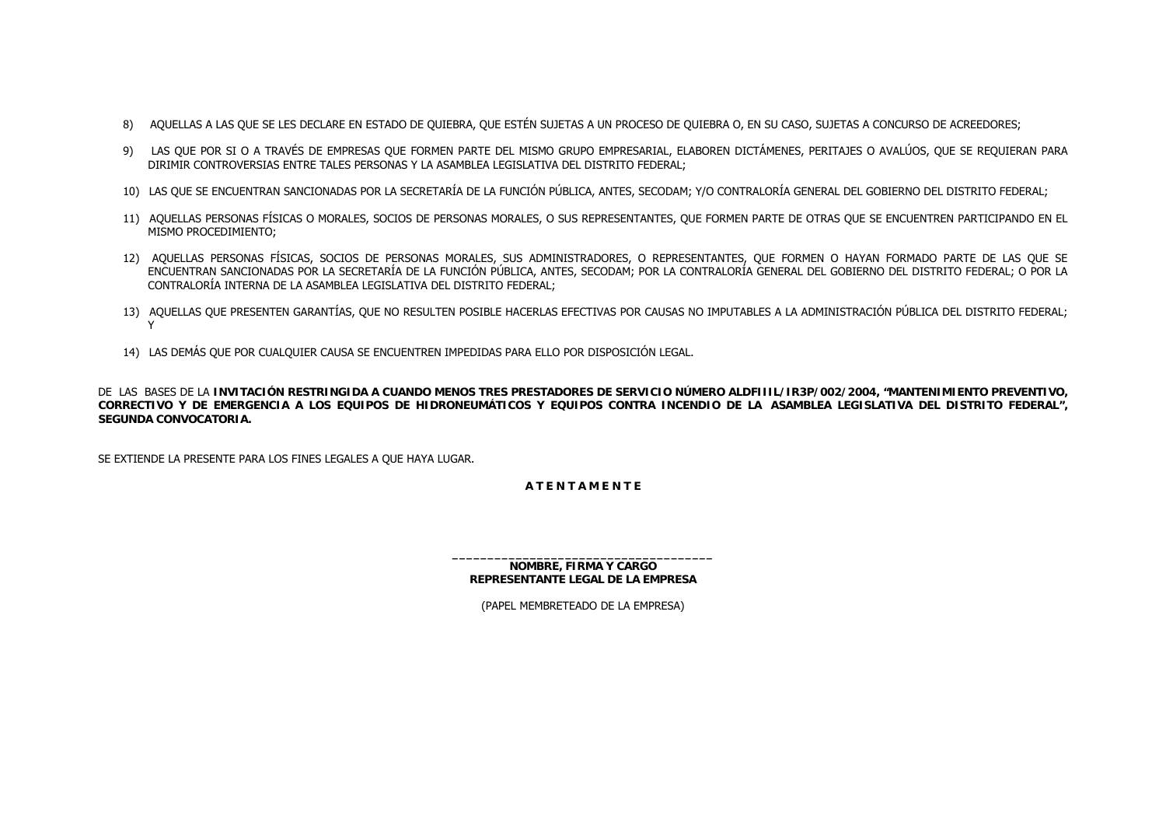- 8) AQUELLAS A LAS QUE SE LES DECLARE EN ESTADO DE QUIEBRA, QUE ESTÉN SUJETAS A UN PROCESO DE QUIEBRA O, EN SU CASO, SUJETAS A CONCURSO DE ACREEDORES;
- 9) LAS QUE POR SI O A TRAVÉS DE EMPRESAS QUE FORMEN PARTE DEL MISMO GRUPO EMPRESARIAL, ELABOREN DICTÁMENES, PERITAJES O AVALÚOS, QUE SE REQUIERAN PARA DIRIMIR CONTROVERSIAS ENTRE TALES PERSONAS Y LA ASAMBLEA LEGISLATIVA DEL DISTRITO FEDERAL;
- 10) LAS QUE SE ENCUENTRAN SANCIONADAS POR LA SECRETARÍA DE LA FUNCIÓN PÚBLICA, ANTES, SECODAM; Y/O CONTRALORÍA GENERAL DEL GOBIERNO DEL DISTRITO FEDERAL;
- 11) AQUELLAS PERSONAS FÍSICAS O MORALES, SOCIOS DE PERSONAS MORALES, O SUS REPRESENTANTES, QUE FORMEN PARTE DE OTRAS QUE SE ENCUENTREN PARTICIPANDO EN EL MISMO PROCEDIMIENTO;
- 12) AQUELLAS PERSONAS FÍSICAS, SOCIOS DE PERSONAS MORALES, SUS ADMINISTRADORES, O REPRESENTANTES, QUE FORMEN O HAYAN FORMADO PARTE DE LAS QUE SE ENCUENTRAN SANCIONADAS POR LA SECRETARÍA DE LA FUNCIÓN PÚBLICA, ANTES, SECODAM; POR LA CONTRALORÍA GENERAL DEL GOBIERNO DEL DISTRITO FEDERAL; O POR LA CONTRALORÍA INTERNA DE LA ASAMBLEA LEGISLATIVA DEL DISTRITO FEDERAL;
- 13) AQUELLAS QUE PRESENTEN GARANTÍAS, QUE NO RESULTEN POSIBLE HACERLAS EFECTIVAS POR CAUSAS NO IMPUTABLES A LA ADMINISTRACIÓN PÚBLICA DEL DISTRITO FEDERAL; Y
- 14) LAS DEMÁS QUE POR CUALQUIER CAUSA SE ENCUENTREN IMPEDIDAS PARA ELLO POR DISPOSICIÓN LEGAL.

DE LAS BASES DE LA **INVITACIÓN RESTRINGIDA A CUANDO MENOS TRES PRESTADORES DE SERVICIO NÚMERO ALDFIIIL/IR3P/002/2004, "MANTENIMIENTO PREVENTIVO, CORRECTIVO Y DE EMERGENCIA A LOS EQUIPOS DE HIDRONEUMÁTICOS Y EQUIPOS CONTRA INCENDIO DE LA ASAMBLEA LEGISLATIVA DEL DISTRITO FEDERAL", SEGUNDA CONVOCATORIA.**

SE EXTIENDE LA PRESENTE PARA LOS FINES LEGALES A QUE HAYA LUGAR.

### **A T E N T A M E N T E**

**NOMBRE, FIRMA Y CARGO REPRESENTANTE LEGAL DE LA EMPRESA**

(PAPEL MEMBRETEADO DE LA EMPRESA)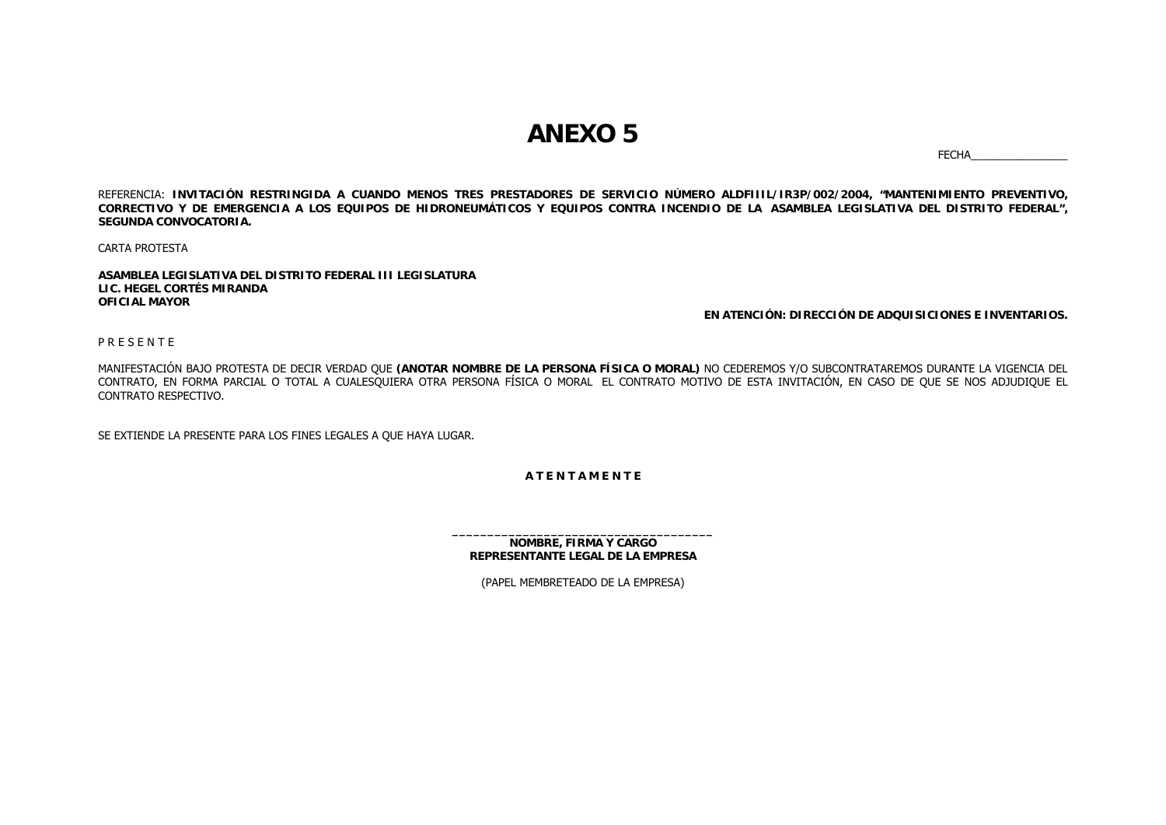## **ANEXO 5**

FECHA\_\_\_\_\_\_\_\_\_\_\_\_\_\_\_\_

REFERENCIA: **INVITACIÓN RESTRINGIDA A CUANDO MENOS TRES PRESTADORES DE SERVICIO NÚMERO ALDFIIIL/IR3P/002/2004, "MANTENIMIENTO PREVENTIVO, CORRECTIVO Y DE EMERGENCIA A LOS EQUIPOS DE HIDRONEUMÁTICOS Y EQUIPOS CONTRA INCENDIO DE LA ASAMBLEA LEGISLATIVA DEL DISTRITO FEDERAL", SEGUNDA CONVOCATORIA.**

CARTA PROTESTA

**ASAMBLEA LEGISLATIVA DEL DISTRITO FEDERAL III LEGISLATURALIC. HEGEL CORTÉS MIRANDAOFICIAL MAYOR**

**EN ATENCIÓN: DIRECCIÓN DE ADQUISICIONES E INVENTARIOS.**

P R E S E N T E

MANIFESTACIÓN BAJO PROTESTA DE DECIR VERDAD QUE **(ANOTAR NOMBRE DE LA PERSONA FÍSICA O MORAL)** NO CEDEREMOS Y/O SUBCONTRATAREMOS DURANTE LA VIGENCIA DEL CONTRATO, EN FORMA PARCIAL O TOTAL A CUALESQUIERA OTRA PERSONA FÍSICA O MORAL EL CONTRATO MOTIVO DE ESTA INVITACIÓN, EN CASO DE QUE SE NOS ADJUDIQUE EL CONTRATO RESPECTIVO.

SE EXTIENDE LA PRESENTE PARA LOS FINES LEGALES A QUE HAYA LUGAR.

**A T E N T A M E N T E**

**NOMBRE, FIRMA Y CARGO REPRESENTANTE LEGAL DE LA EMPRESA**

(PAPEL MEMBRETEADO DE LA EMPRESA)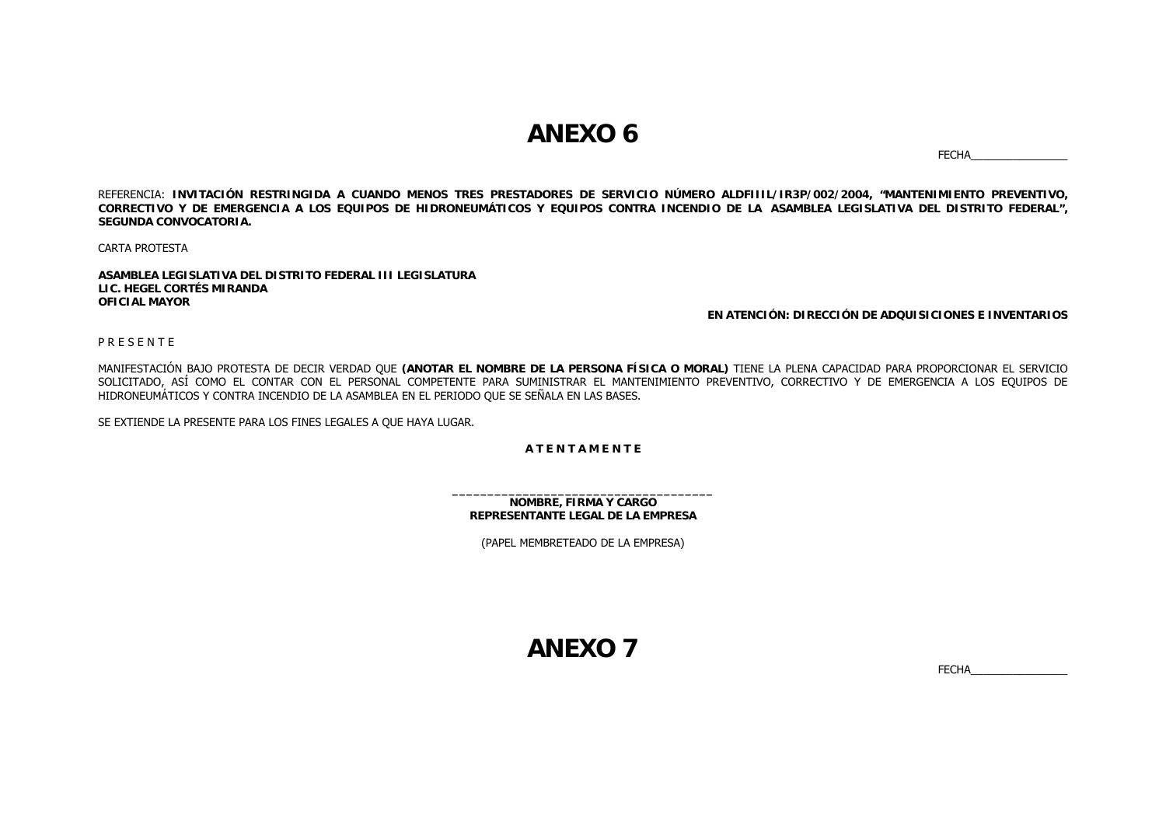## **ANEXO 6**

FECHA\_\_\_\_\_\_\_\_\_\_\_\_\_\_\_\_

REFERENCIA: **INVITACIÓN RESTRINGIDA A CUANDO MENOS TRES PRESTADORES DE SERVICIO NÚMERO ALDFIIIL/IR3P/002/2004, "MANTENIMIENTO PREVENTIVO, CORRECTIVO Y DE EMERGENCIA A LOS EQUIPOS DE HIDRONEUMÁTICOS Y EQUIPOS CONTRA INCENDIO DE LA ASAMBLEA LEGISLATIVA DEL DISTRITO FEDERAL", SEGUNDA CONVOCATORIA.**

CARTA PROTESTA

**ASAMBLEA LEGISLATIVA DEL DISTRITO FEDERAL III LEGISLATURALIC. HEGEL CORTÉS MIRANDAOFICIAL MAYOR**

#### **EN ATENCIÓN: DIRECCIÓN DE ADQUISICIONES E INVENTARIOS**

P R E S E N T E

MANIFESTACIÓN BAJO PROTESTA DE DECIR VERDAD QUE **(ANOTAR EL NOMBRE DE LA PERSONA FÍSICA O MORAL)** TIENE LA PLENA CAPACIDAD PARA PROPORCIONAR EL SERVICIO SOLICITADO, ASÍ COMO EL CONTAR CON EL PERSONAL COMPETENTE PARA SUMINISTRAR EL MANTENIMIENTO PREVENTIVO, CORRECTIVO Y DE EMERGENCIA A LOS EQUIPOS DE HIDRONEUMÁTICOS Y CONTRA INCENDIO DE LA ASAMBLEA EN EL PERIODO QUE SE SEÑALA EN LAS BASES.

SE EXTIENDE LA PRESENTE PARA LOS FINES LEGALES A QUE HAYA LUGAR.

**A T E N T A M E N T E**

**NOMBRE, FIRMA Y CARGO REPRESENTANTE LEGAL DE LA EMPRESA**

(PAPEL MEMBRETEADO DE LA EMPRESA)

**ANEXO 7**

FECHA\_\_\_\_\_\_\_\_\_\_\_\_\_\_\_\_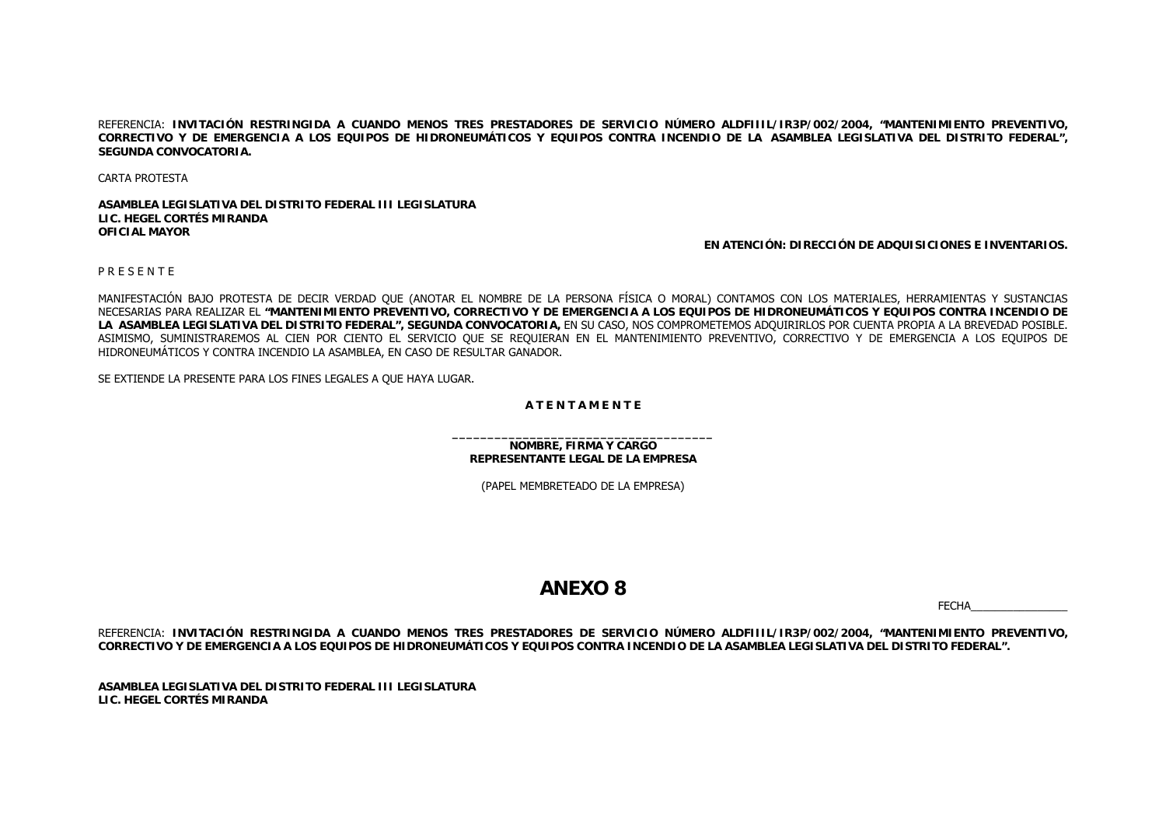REFERENCIA: **INVITACIÓN RESTRINGIDA A CUANDO MENOS TRES PRESTADORES DE SERVICIO NÚMERO ALDFIIIL/IR3P/002/2004, "MANTENIMIENTO PREVENTIVO, CORRECTIVO Y DE EMERGENCIA A LOS EQUIPOS DE HIDRONEUMÁTICOS Y EQUIPOS CONTRA INCENDIO DE LA ASAMBLEA LEGISLATIVA DEL DISTRITO FEDERAL", SEGUNDA CONVOCATORIA.**

CARTA PROTESTA

**ASAMBLEA LEGISLATIVA DEL DISTRITO FEDERAL III LEGISLATURALIC. HEGEL CORTÉS MIRANDAOFICIAL MAYOR**

**EN ATENCIÓN: DIRECCIÓN DE ADQUISICIONES E INVENTARIOS.**

P R E S E N T E

MANIFESTACIÓN BAJO PROTESTA DE DECIR VERDAD QUE (ANOTAR EL NOMBRE DE LA PERSONA FÍSICA O MORAL) CONTAMOS CON LOS MATERIALES, HERRAMIENTAS Y SUSTANCIAS NECESARIAS PARA REALIZAR EL **"MANTENIMIENTO PREVENTIVO, CORRECTIVO Y DE EMERGENCIA A LOS EQUIPOS DE HIDRONEUMÁTICOS Y EQUIPOS CONTRA INCENDIO DE LA ASAMBLEA LEGISLATIVA DEL DISTRITO FEDERAL", SEGUNDA CONVOCATORIA,** EN SU CASO, NOS COMPROMETEMOS ADQUIRIRLOS POR CUENTA PROPIA A LA BREVEDAD POSIBLE. ASIMISMO, SUMINISTRAREMOS AL CIEN POR CIENTO EL SERVICIO QUE SE REQUIERAN EN EL MANTENIMIENTO PREVENTIVO, CORRECTIVO Y DE EMERGENCIA A LOS EQUIPOS DE HIDRONEUMÁTICOS Y CONTRA INCENDIO LA ASAMBLEA, EN CASO DE RESULTAR GANADOR.

SE EXTIENDE LA PRESENTE PARA LOS FINES LEGALES A QUE HAYA LUGAR.

#### **A T E N T A M E N T E**

**NOMBRE, FIRMA Y CARGO REPRESENTANTE LEGAL DE LA EMPRESA**

(PAPEL MEMBRETEADO DE LA EMPRESA)

## **ANEXO 8**

FECHA\_\_\_\_\_\_\_\_\_\_\_\_\_\_\_\_

REFERENCIA: **INVITACIÓN RESTRINGIDA A CUANDO MENOS TRES PRESTADORES DE SERVICIO NÚMERO ALDFIIIL/IR3P/002/2004, "MANTENIMIENTO PREVENTIVO, CORRECTIVO Y DE EMERGENCIA A LOS EQUIPOS DE HIDRONEUMÁTICOS Y EQUIPOS CONTRA INCENDIO DE LA ASAMBLEA LEGISLATIVA DEL DISTRITO FEDERAL".**

**ASAMBLEA LEGISLATIVA DEL DISTRITO FEDERAL III LEGISLATURALIC. HEGEL CORTÉS MIRANDA**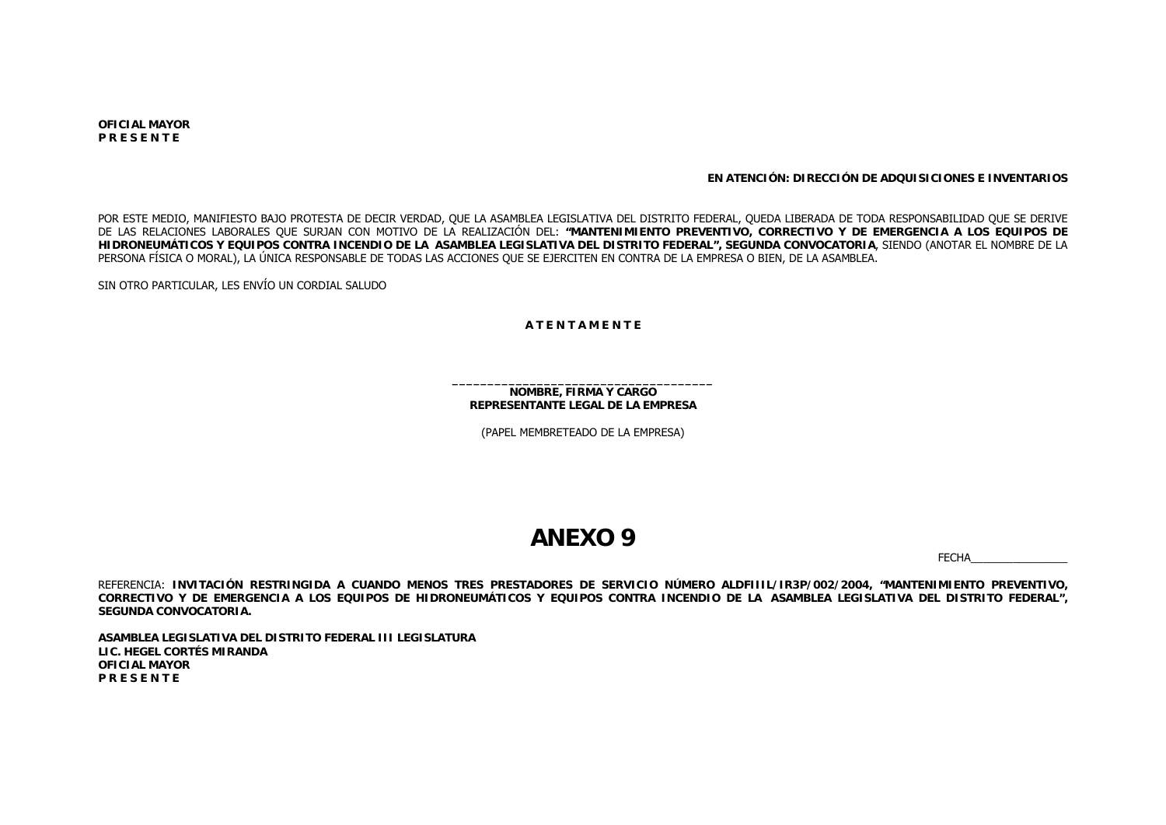**OFICIAL MAYORP R E S E N T E**

**EN ATENCIÓN: DIRECCIÓN DE ADQUISICIONES E INVENTARIOS**

POR ESTE MEDIO, MANIFIESTO BAJO PROTESTA DE DECIR VERDAD, QUE LA ASAMBLEA LEGISLATIVA DEL DISTRITO FEDERAL, QUEDA LIBERADA DE TODA RESPONSABILIDAD QUE SE DERIVE DE LAS RELACIONES LABORALES QUE SURJAN CON MOTIVO DE LA REALIZACIÓN DEL: **"MANTENIMIENTO PREVENTIVO, CORRECTIVO Y DE EMERGENCIA A LOS EQUIPOS DE HIDRONEUMÁTICOS Y EQUIPOS CONTRA INCENDIO DE LA ASAMBLEA LEGISLATIVA DEL DISTRITO FEDERAL", SEGUNDA CONVOCATORIA**, SIENDO (ANOTAR EL NOMBRE DE LA PERSONA FÍSICA O MORAL), LA ÚNICA RESPONSABLE DE TODAS LAS ACCIONES QUE SE EJERCITEN EN CONTRA DE LA EMPRESA O BIEN, DE LA ASAMBLEA.

SIN OTRO PARTICULAR, LES ENVÍO UN CORDIAL SALUDO

#### **A T E N T A M E N T E**

**NOMBRE, FIRMA Y CARGO REPRESENTANTE LEGAL DE LA EMPRESA**

(PAPEL MEMBRETEADO DE LA EMPRESA)

## **ANEXO 9**

FECHA\_\_\_\_\_\_\_\_\_\_\_\_\_\_\_\_

REFERENCIA: **INVITACIÓN RESTRINGIDA A CUANDO MENOS TRES PRESTADORES DE SERVICIO NÚMERO ALDFIIIL/IR3P/002/2004, "MANTENIMIENTO PREVENTIVO, CORRECTIVO Y DE EMERGENCIA A LOS EQUIPOS DE HIDRONEUMÁTICOS Y EQUIPOS CONTRA INCENDIO DE LA ASAMBLEA LEGISLATIVA DEL DISTRITO FEDERAL", SEGUNDA CONVOCATORIA.**

**ASAMBLEA LEGISLATIVA DEL DISTRITO FEDERAL III LEGISLATURALIC. HEGEL CORTÉS MIRANDAOFICIAL MAYORP R E S E N T E**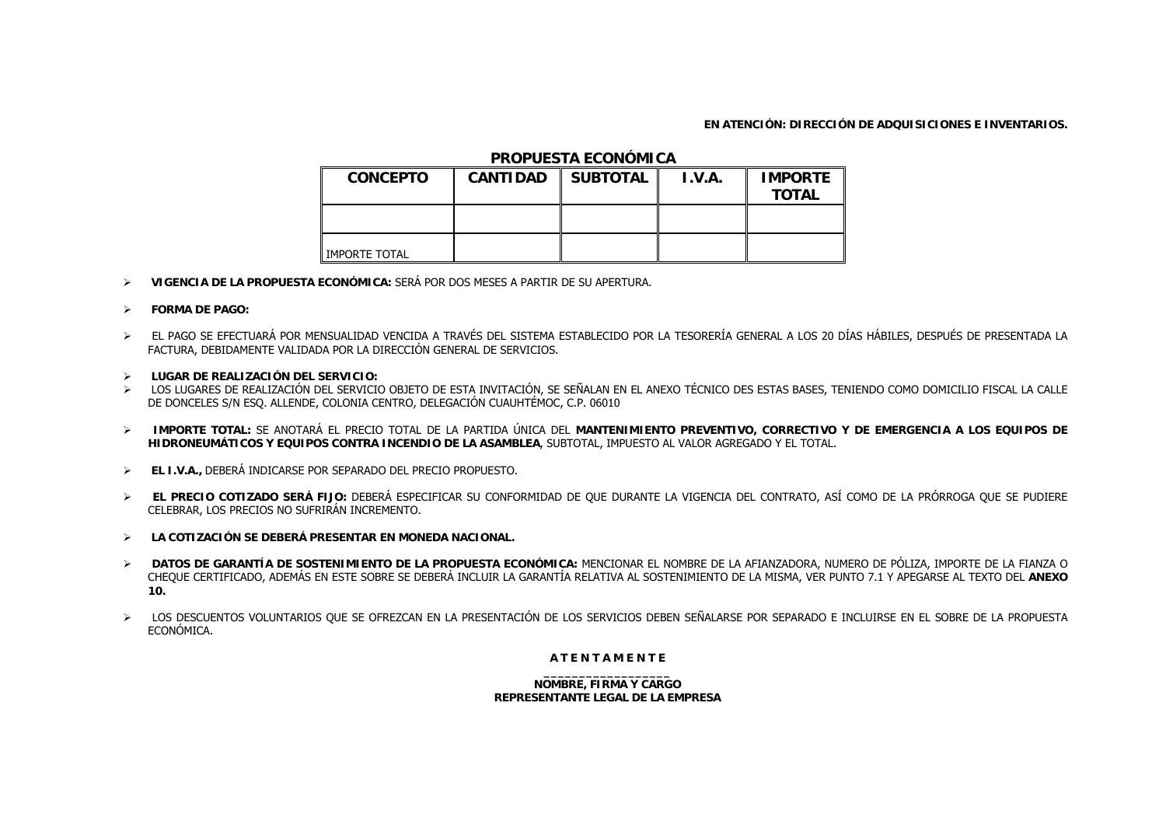### **EN ATENCIÓN: DIRECCIÓN DE ADQUISICIONES E INVENTARIOS.**

### **PROPUESTA ECONÓMICA**

| <b>CONCEPTO</b> | <b>CANTIDAD</b> | <b>SUBTOTAL</b> | I.V.A. | <b>IMPORTE</b><br><b>TOTAL</b> |
|-----------------|-----------------|-----------------|--------|--------------------------------|
|                 |                 |                 |        |                                |
| IMPORTE TOTAL   |                 |                 |        |                                |

- $\blacktriangleright$ **VIGENCIA DE LA PROPUESTA ECONÓMICA:** SERÁ POR DOS MESES A PARTIR DE SU APERTURA.
- ¾ **FORMA DE PAGO:**
- ¾ EL PAGO SE EFECTUARÁ POR MENSUALIDAD VENCIDA A TRAVÉS DEL SISTEMA ESTABLECIDO POR LA TESORERÍA GENERAL A LOS 20 DÍAS HÁBILES, DESPUÉS DE PRESENTADA LA FACTURA, DEBIDAMENTE VALIDADA POR LA DIRECCIÓN GENERAL DE SERVICIOS.
- ¾ **LUGAR DE REALIZACIÓN DEL SERVICIO:**
- ¾ LOS LUGARES DE REALIZACIÓN DEL SERVICIO OBJETO DE ESTA INVITACIÓN, SE SEÑALAN EN EL ANEXO TÉCNICO DES ESTAS BASES, TENIENDO COMO DOMICILIO FISCAL LA CALLE DE DONCELES S/N ESQ. ALLENDE, COLONIA CENTRO, DELEGACIÓN CUAUHTÉMOC, C.P. 06010
- ¾ **IMPORTE TOTAL:** SE ANOTARÁ EL PRECIO TOTAL DE LA PARTIDA ÚNICA DEL **MANTENIMIENTO PREVENTIVO, CORRECTIVO Y DE EMERGENCIA A LOS EQUIPOS DE HIDRONEUMÁTICOS Y EQUIPOS CONTRA INCENDIO DE LA ASAMBLEA**, SUBTOTAL, IMPUESTO AL VALOR AGREGADO Y EL TOTAL.
- ¾ **EL I.V.A.,** DEBERÁ INDICARSE POR SEPARADO DEL PRECIO PROPUESTO.
- ¾ **EL PRECIO COTIZADO SERÁ FIJO:** DEBERÁ ESPECIFICAR SU CONFORMIDAD DE QUE DURANTE LA VIGENCIA DEL CONTRATO, ASÍ COMO DE LA PRÓRROGA QUE SE PUDIERE CELEBRAR, LOS PRECIOS NO SUFRIRÁN INCREMENTO.
- ¾ **LA COTIZACIÓN SE DEBERÁ PRESENTAR EN MONEDA NACIONAL.**
- $\blacktriangleright$  **DATOS DE GARANTÍA DE SOSTENIMIENTO DE LA PROPUESTA ECONÓMICA:** MENCIONAR EL NOMBRE DE LA AFIANZADORA, NUMERO DE PÓLIZA, IMPORTE DE LA FIANZA O CHEQUE CERTIFICADO, ADEMÁS EN ESTE SOBRE SE DEBERÁ INCLUIR LA GARANTÍA RELATIVA AL SOSTENIMIENTO DE LA MISMA, VER PUNTO 7.1 Y APEGARSE AL TEXTO DEL **ANEXO 10.**
- ¾ LOS DESCUENTOS VOLUNTARIOS QUE SE OFREZCAN EN LA PRESENTACIÓN DE LOS SERVICIOS DEBEN SEÑALARSE POR SEPARADO E INCLUIRSE EN EL SOBRE DE LA PROPUESTA ECONÓMICA.

### **A T E N T A M E N T E**

**NOMBRE, FIRMA Y CARGO REPRESENTANTE LEGAL DE LA EMPRESA**